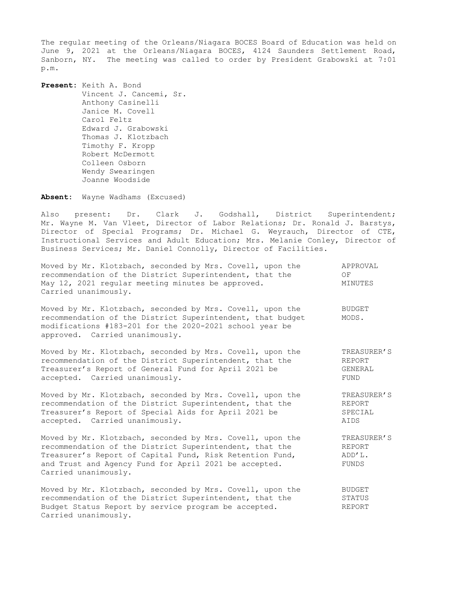The regular meeting of the Orleans/Niagara BOCES Board of Education was held on June 9, 2021 at the Orleans/Niagara BOCES, 4124 Saunders Settlement Road, Sanborn, NY. The meeting was called to order by President Grabowski at 7:01 p.m.

**Present:** Keith A. Bond Vincent J. Cancemi, Sr. Anthony Casinelli Janice M. Covell Carol Feltz Edward J. Grabowski Thomas J. Klotzbach Timothy F. Kropp Robert McDermott Colleen Osborn Wendy Swearingen Joanne Woodside

**Absent:** Wayne Wadhams (Excused)

Carried unanimously.

Also present: Dr. Clark J. Godshall, District Superintendent; Mr. Wayne M. Van Vleet, Director of Labor Relations; Dr. Ronald J. Barstys, Director of Special Programs; Dr. Michael G. Weyrauch, Director of CTE, Instructional Services and Adult Education; Mrs. Melanie Conley, Director of Business Services; Mr. Daniel Connolly, Director of Facilities.

| Moved by Mr. Klotzbach, seconded by Mrs. Covell, upon the<br>recommendation of the District Superintendent, that the<br>May 12, 2021 regular meeting minutes be approved.<br>Carried unanimously.                                                                 | APPROVAL<br>OF<br>MINUTES                |
|-------------------------------------------------------------------------------------------------------------------------------------------------------------------------------------------------------------------------------------------------------------------|------------------------------------------|
| Moved by Mr. Klotzbach, seconded by Mrs. Covell, upon the<br>recommendation of the District Superintendent, that budget<br>modifications #183-201 for the 2020-2021 school year be<br>approved. Carried unanimously.                                              | <b>BUDGET</b><br>MODS.                   |
| Moved by Mr. Klotzbach, seconded by Mrs. Covell, upon the                                                                                                                                                                                                         | TREASURER'S                              |
| recommendation of the District Superintendent, that the                                                                                                                                                                                                           | REPORT                                   |
| Treasurer's Report of General Fund for April 2021 be                                                                                                                                                                                                              | GENERAL                                  |
| accepted. Carried unanimously.                                                                                                                                                                                                                                    | FUND                                     |
| Moved by Mr. Klotzbach, seconded by Mrs. Covell, upon the                                                                                                                                                                                                         | TREASURER'S                              |
| recommendation of the District Superintendent, that the                                                                                                                                                                                                           | REPORT                                   |
| Treasurer's Report of Special Aids for April 2021 be                                                                                                                                                                                                              | SPECIAL                                  |
| accepted. Carried unanimously.                                                                                                                                                                                                                                    | AIDS                                     |
| Moved by Mr. Klotzbach, seconded by Mrs. Covell, upon the<br>recommendation of the District Superintendent, that the<br>Treasurer's Report of Capital Fund, Risk Retention Fund,<br>and Trust and Agency Fund for April 2021 be accepted.<br>Carried unanimously. | TREASURER'S<br>REPORT<br>ADD'L.<br>FUNDS |
| Moved by Mr. Klotzbach, seconded by Mrs. Covell, upon the                                                                                                                                                                                                         | BUDGET                                   |
| recommendation of the District Superintendent, that the                                                                                                                                                                                                           | STATUS                                   |
| Budget Status Report by service program be accepted.                                                                                                                                                                                                              | <b>REPORT</b>                            |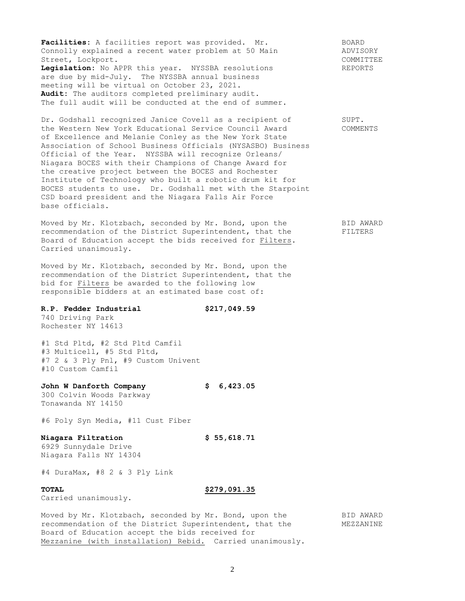Facilities: A facilities report was provided. Mr. 60ARD **Facilities:** A facilities report was provided. Mr. BOARD<br>Connolly explained a recent water problem at 50 Main ADVISORY Street, Lockport.  $\blacksquare$ Legislation: No APPR this year. NYSSBA resolutions REPORTS are due by mid-July. The NYSSBA annual business meeting will be virtual on October 23, 2021. **Audit:** The auditors completed preliminary audit. The full audit will be conducted at the end of summer.

Dr. Godshall recognized Janice Covell as a recipient of SUPT. the Western New York Educational Service Council Award COMMENTS of Excellence and Melanie Conley as the New York State Association of School Business Officials (NYSASBO) Business Official of the Year. NYSSBA will recognize Orleans/ Niagara BOCES with their Champions of Change Award for the creative project between the BOCES and Rochester Institute of Technology who built a robotic drum kit for BOCES students to use. Dr. Godshall met with the Starpoint CSD board president and the Niagara Falls Air Force base officials.

Moved by Mr. Klotzbach, seconded by Mr. Bond, upon the BID AWARD recommendation of the District Superintendent, that the FILTERS Board of Education accept the bids received for Filters. Carried unanimously.

Moved by Mr. Klotzbach, seconded by Mr. Bond, upon the recommendation of the District Superintendent, that the bid for Filters be awarded to the following low responsible bidders at an estimated base cost of:

## **R.P. Fedder Industrial \$217,049.59**

740 Driving Park Rochester NY 14613

#1 Std Pltd, #2 Std Pltd Camfil #3 Multicell, #5 Std Pltd, #7 2 & 3 Ply Pnl, #9 Custom Univent #10 Custom Camfil

# **John W Danforth Company \$ 6,423.05**

300 Colvin Woods Parkway Tonawanda NY 14150

#6 Poly Syn Media, #11 Cust Fiber

# **Niagara Filtration \$ 55,618.71**

6929 Sunnydale Drive Niagara Falls NY 14304

#4 DuraMax, #8 2 & 3 Ply Link

Carried unanimously.

#### **TOTAL \$279,091.35**

Moved by Mr. Klotzbach, seconded by Mr. Bond, upon the BID AWARD recommendation of the District Superintendent, that the MEZZANINE Board of Education accept the bids received for Mezzanine (with installation) Rebid. Carried unanimously.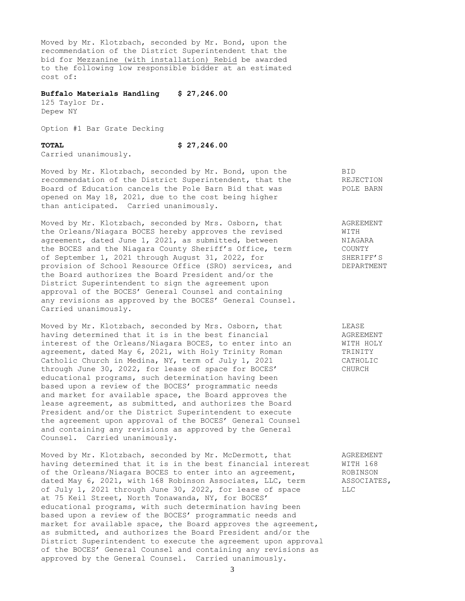Moved by Mr. Klotzbach, seconded by Mr. Bond, upon the recommendation of the District Superintendent that the bid for Mezzanine (with installation) Rebid be awarded to the following low responsible bidder at an estimated cost of:

### **Buffalo Materials Handling \$ 27,246.00**

125 Taylor Dr. Depew NY

Option #1 Bar Grate Decking

#### **TOTAL \$ 27,246.00**

Carried unanimously.

Moved by Mr. Klotzbach, seconded by Mr. Bond, upon the BID<br>recommendation of the District Superintendent, that the REJECTION recommendation of the District Superintendent, that the Reard of Education Board of Education cancels the Pole Barn Bid that was FOLE BARN opened on May 18, 2021, due to the cost being higher than anticipated. Carried unanimously.

Moved by Mr. Klotzbach, seconded by Mrs. Osborn, that AGREEMENT the Orleans/Niagara BOCES hereby approves the revised WITH agreement, dated June 1, 2021, as submitted, between WIAGARA agreement, dated June 1, 2021, as submitted, between the BOCES and the Niagara County Sheriff's Office, term COUNTY<br>of September 1, 2021 through August 31, 2022, for SHERIFF'S of September 1, 2021 through August 31, 2022, for provision of School Resource Office (SRO) services, and DEPARTMENT the Board authorizes the Board President and/or the District Superintendent to sign the agreement upon approval of the BOCES' General Counsel and containing any revisions as approved by the BOCES' General Counsel. Carried unanimously.

Moved by Mr. Klotzbach, seconded by Mrs. Osborn, that LEASE having determined that it is in the best financial AGREEMENT interest of the Orleans/Niagara BOCES, to enter into an WITH HOLY agreement, dated May 6, 2021, with Holy Trinity Roman TRINITY Catholic Church in Medina, NY, term of July 1, 2021 CATHOLIC through June 30, 2022, for lease of space for BOCES' CHURCH educational programs, such determination having been based upon a review of the BOCES' programmatic needs and market for available space, the Board approves the lease agreement, as submitted, and authorizes the Board President and/or the District Superintendent to execute the agreement upon approval of the BOCES' General Counsel and containing any revisions as approved by the General Counsel. Carried unanimously.

Moved by Mr. Klotzbach, seconded by Mr. McDermott, that AGREEMENT having determined that it is in the best financial interest WITH 168<br>of the Orleans/Niagara BOCES to enter into an agreement, ROBINSON of the Orleans/Niagara BOCES to enter into an agreement, ROBINSON dated May 6, 2021, with 168 Robinson Associates, LLC, term associates, of the Ulleans/Wiayara Docup to these serves of the Sate of term<br>dated May 6, 2021, with 168 Robinson Associates, LLC, term of July 1, 2021 through June 30, 2022, for lease of space LLC at 75 Keil Street, North Tonawanda, NY, for BOCES' educational programs, with such determination having been based upon a review of the BOCES' programmatic needs and market for available space, the Board approves the agreement, as submitted, and authorizes the Board President and/or the District Superintendent to execute the agreement upon approval of the BOCES' General Counsel and containing any revisions as approved by the General Counsel. Carried unanimously.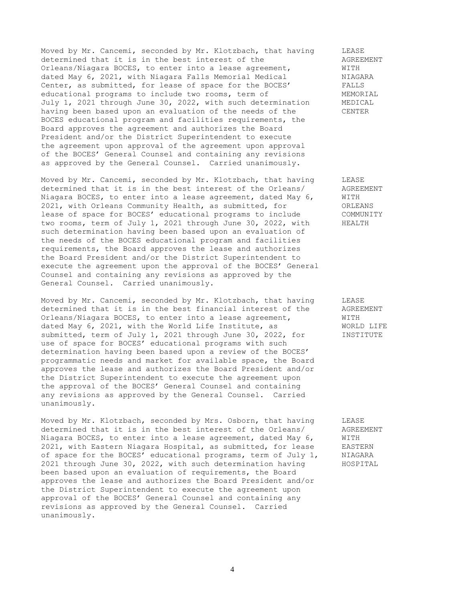Moved by Mr. Cancemi, seconded by Mr. Klotzbach, that having LEASE determined that it is in the best interest of the  $\Omega$  AGREEMENT Orleans/Niagara BOCES, to enter into a lease agreement,  $\text{WITH}$ Orleans/Niagara BOCES, to enter into a lease agreement, WITH<br>dated May 6, 2021, with Niagara Falls Memorial Medical MIAGARA dated May 6, 2021, with Niagara Falls Memorial Medical Center, as submitted, for lease of space for the BOCES' FALLS educational programs to include two rooms, term of MEMORIAL July 1, 2021 through June 30, 2022, with such determination MEDICAL having been based upon an evaluation of the needs of the CENTER BOCES educational program and facilities requirements, the Board approves the agreement and authorizes the Board President and/or the District Superintendent to execute the agreement upon approval of the agreement upon approval of the BOCES' General Counsel and containing any revisions as approved by the General Counsel. Carried unanimously.

Moved by Mr. Cancemi, seconded by Mr. Klotzbach, that having LEASE<br>determined that it is in the best interest of the Orleans/ AGREEMENT determined that it is in the best interest of the Orleans/ Niagara BOCES, to enter into a lease agreement, dated May 6, WITH 2021, with Orleans Community Health, as submitted, for ORLEANS lease of space for BOCES' educational programs to include COMMUNITY two rooms, term of July 1, 2021 through June 30, 2022, with HEALTH such determination having been based upon an evaluation of the needs of the BOCES educational program and facilities requirements, the Board approves the lease and authorizes the Board President and/or the District Superintendent to execute the agreement upon the approval of the BOCES' General Counsel and containing any revisions as approved by the General Counsel. Carried unanimously.

Moved by Mr. Cancemi, seconded by Mr. Klotzbach, that having LEASE<br>determined that it is in the best financial interest of the AGREEMENT determined that it is in the best financial interest of the Orleans/Niagara BOCES, to enter into a lease agreement, WITH dated May 6, 2021, with the World Life Institute, as WORLD LIFE submitted, term of July 1, 2021 through June 30, 2022, for INSTITUTE use of space for BOCES' educational programs with such determination having been based upon a review of the BOCES' programmatic needs and market for available space, the Board approves the lease and authorizes the Board President and/or the District Superintendent to execute the agreement upon the approval of the BOCES' General Counsel and containing any revisions as approved by the General Counsel. Carried unanimously.

Moved by Mr. Klotzbach, seconded by Mrs. Osborn, that having LEASE<br>determined that it is in the best interest of the Orleans/ AGREEMENT determined that it is in the best interest of the Orleans/ Niagara BOCES, to enter into a lease agreement, dated May 6, WITH 2021, with Eastern Niagara Hospital, as submitted, for lease EASTERN of space for the BOCES' educational programs, term of July 1, NIAGARA 2021 through June 30, 2022, with such determination having HOSPITAL been based upon an evaluation of requirements, the Board approves the lease and authorizes the Board President and/or the District Superintendent to execute the agreement upon approval of the BOCES' General Counsel and containing any revisions as approved by the General Counsel. Carried unanimously.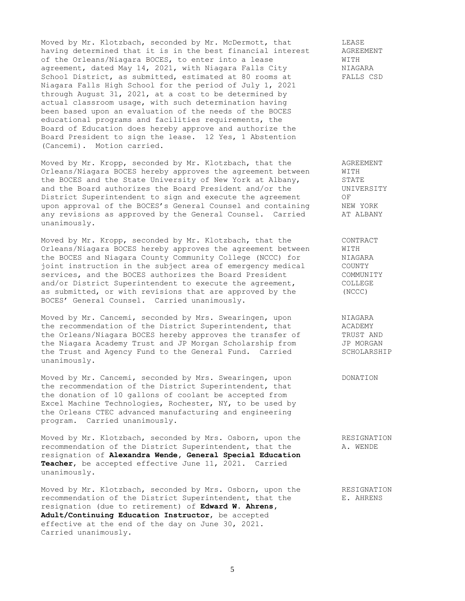Moved by Mr. Klotzbach, seconded by Mr. McDermott, that TEASE having determined that it is in the best financial interest AGREEMENT of the Orleans/Niagara BOCES, to enter into a lease WITH agreement, dated May 14, 2021, with Niagara Falls City MIAGARA<br>School District, as submitted, estimated at 80 rooms at FALLS CSD School District, as submitted, estimated at 80 rooms at Niagara Falls High School for the period of July 1, 2021 through August 31, 2021, at a cost to be determined by actual classroom usage, with such determination having been based upon an evaluation of the needs of the BOCES educational programs and facilities requirements, the Board of Education does hereby approve and authorize the Board President to sign the lease. 12 Yes, 1 Abstention (Cancemi). Motion carried.

Moved by Mr. Kropp, seconded by Mr. Klotzbach, that the agreement AGREEMENT<br>Orleans/Niagara BOCES hereby approves the agreement between WITH Orleans/Niagara BOCES hereby approves the agreement between WITH<br>the BOCES and the State University of New York at Albany, STATE<br>and the Board authorizes the Board President and/or the UNIVERSITY the BOCES and the State University of New York at Albany, and the Board authorizes the Board President and/or the District Superintendent to sign and execute the agreement OF upon approval of the BOCES's General Counsel and containing MEW YORK any revisions as approved by the General Counsel. Carried AT ALBANY unanimously.

Moved by Mr. Kropp, seconded by Mr. Klotzbach, that the CONTRACT Orleans/Niagara BOCES hereby approves the agreement between WITH the BOCES and Niagara County Community College (NCCC) for MIAGARA joint instruction in the subject area of emergency medical COUNTY services, and the BOCES authorizes the Board President COMMUNITY and/or District Superintendent to execute the agreement, COLLEGE as submitted, or with revisions that are approved by the (NCCC) BOCES' General Counsel. Carried unanimously.

Moved by Mr. Cancemi, seconded by Mrs. Swearingen, upon NIAGARA the recommendation of the District Superintendent, that ACADEMY the Orleans/Niagara BOCES hereby approves the transfer of TRUST AND the Niagara Academy Trust and JP Morgan Scholarship from JP MORGAN the Trust and Agency Fund to the General Fund. Carried SCHOLARSHIP unanimously.

Moved by Mr. Cancemi, seconded by Mrs. Swearingen, upon DONATION the recommendation of the District Superintendent, that the donation of 10 gallons of coolant be accepted from Excel Machine Technologies, Rochester, NY, to be used by the Orleans CTEC advanced manufacturing and engineering program. Carried unanimously.

Moved by Mr. Klotzbach, seconded by Mrs. Osborn, upon the RESIGNATION recommendation of the District Superintendent, that the A. WENDE resignation of **Alexandra Wende, General Special Education Teacher**, be accepted effective June 11, 2021. Carried unanimously.

Moved by Mr. Klotzbach, seconded by Mrs. Osborn, upon the RESIGNATION recommendation of the District Superintendent, that the E. AHRENS resignation (due to retirement) of **Edward W. Ahrens, Adult/Continuing Education Instructor**, be accepted effective at the end of the day on June 30, 2021. Carried unanimously.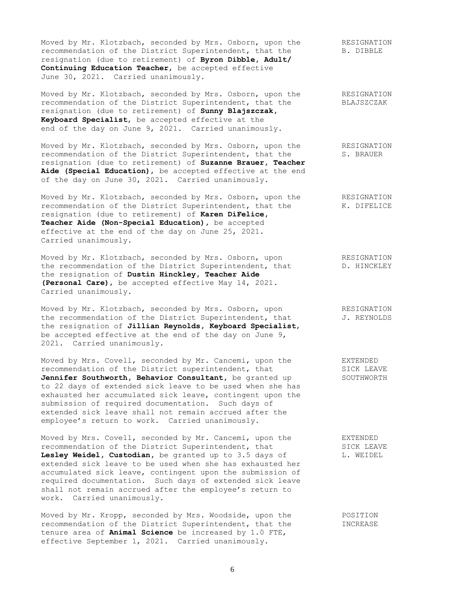Moved by Mr. Klotzbach, seconded by Mrs. Osborn, upon the RESIGNATION recommendation of the District Superintendent, that the B. DIBBLE recommendation of the District Superintendent, that the resignation (due to retirement) of **Byron Dibble, Adult/ Continuing Education Teacher**, be accepted effective June 30, 2021. Carried unanimously.

Moved by Mr. Klotzbach, seconded by Mrs. Osborn, upon the RESIGNATION recommendation of the District Superintendent, that the BLAJSZCZAK resignation (due to retirement) of **Sunny Blajszczak, Keyboard Specialist**, be accepted effective at the end of the day on June 9, 2021. Carried unanimously.

Moved by Mr. Klotzbach, seconded by Mrs. Osborn, upon the RESIGNATION recommendation of the District Superintendent, that the S. BRAUER resignation (due to retirement) of **Suzanne Brauer, Teacher Aide (Special Education)**, be accepted effective at the end of the day on June 30, 2021. Carried unanimously.

Moved by Mr. Klotzbach, seconded by Mrs. Osborn, upon the RESIGNATION recommendation of the District Superintendent, that the K. DIFELICE resignation (due to retirement) of **Karen DiFelice, Teacher Aide (Non-Special Education),** be accepted effective at the end of the day on June 25, 2021. Carried unanimously.

Moved by Mr. Klotzbach, seconded by Mrs. Osborn, upon RESIGNATION the recommendation of the District Superintendent, that The HINCKLEY the resignation of **Dustin Hinckley, Teacher Aide (Personal Care)**, be accepted effective May 14, 2021. Carried unanimously.

Moved by Mr. Klotzbach, seconded by Mrs. Osborn, upon RESIGNATION the recommendation of the District Superintendent, that  $J.$  REYNOLDS the resignation of **Jillian Reynolds, Keyboard Specialist**, be accepted effective at the end of the day on June 9, 2021. Carried unanimously.

Moved by Mrs. Covell, seconded by Mr. Cancemi, upon the EXTENDED recommendation of the District superintendent, that SICK LEAVE **Jennifer Southworth, Behavior Consultant,** be granted up SOUTHWORTH to 22 days of extended sick leave to be used when she has exhausted her accumulated sick leave, contingent upon the submission of required documentation. Such days of extended sick leave shall not remain accrued after the employee's return to work. Carried unanimously.

Moved by Mrs. Covell, seconded by Mr. Cancemi, upon the EXTENDED recommendation of the District Superintendent, that SICK LEAVE **Lesley Weidel, Custodian,** be granted up to 3.5 days of L. WEIDEL extended sick leave to be used when she has exhausted her accumulated sick leave, contingent upon the submission of required documentation. Such days of extended sick leave shall not remain accrued after the employee's return to work. Carried unanimously.

Moved by Mr. Kropp, seconded by Mrs. Woodside, upon the POSITION recommendation of the District Superintendent, that the **INCREASE** tenure area of **Animal Science** be increased by 1.0 FTE, effective September 1, 2021. Carried unanimously.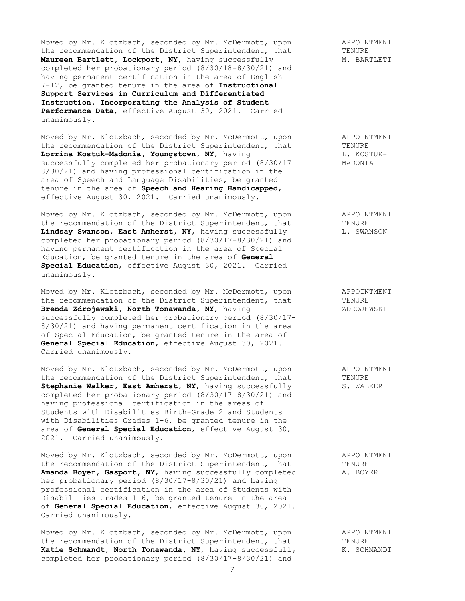Moved by Mr. Klotzbach, seconded by Mr. McDermott, upon and APPOINTMENT<br>the recommendation of the District Superintendent, that TENURE the recommendation of the District Superintendent, that TENURE<br> **Maureen Bartlett, Lockport, NY,** having successfully M. BARTLETT Maureen Bartlett, Lockport, NY, having successfully completed her probationary period (8/30/18-8/30/21) and having permanent certification in the area of English 7-12, be granted tenure in the area of **Instructional Support Services in Curriculum and Differentiated Instruction, Incorporating the Analysis of Student Performance Data**, effective August 30, 2021. Carried unanimously.

Moved by Mr. Klotzbach, seconded by Mr. McDermott, upon and APPOINTMENT the recommendation of the District Superintendent, that TENURE **Lorrina Kostuk-Madonia, Youngstown, NY, having State Control** L. KOSTUKsuccessfully completed her probationary period  $(8/30/17$ - MADONIA 8/30/21) and having professional certification in the area of Speech and Language Disabilities, be granted tenure in the area of **Speech and Hearing Handicapped**, effective August 30, 2021. Carried unanimously.

Moved by Mr. Klotzbach, seconded by Mr. McDermott, upon APPOINTMENT the recommendation of the District Superintendent, that TENURE<br> **Lindsay Swanson, East Amherst, NY,** having successfully L. SWANSON Lindsay Swanson, East Amherst, NY, having successfully completed her probationary period (8/30/17-8/30/21) and having permanent certification in the area of Special Education, be granted tenure in the area of **General Special Education**, effective August 30, 2021. Carried unanimously.

Moved by Mr. Klotzbach, seconded by Mr. McDermott, upon appoint APPOINTMENT<br>the recommendation of the District Superintendent, that TENURE the recommendation of the District Superintendent, that TENURE TENURE **Brenda Zdroiewski, North Tonawanda, NY**, having Brenda Zdrojewski, North Tonawanda, NY, having successfully completed her probationary period (8/30/17- 8/30/21) and having permanent certification in the area of Special Education, be granted tenure in the area of **General Special Education**, effective August 30, 2021. Carried unanimously.

Moved by Mr. Klotzbach, seconded by Mr. McDermott, upon and APPOINTMENT the recommendation of the District Superintendent, that TENURE **Stephanie Walker, East Amherst, NY, having successfully S. WALKER** completed her probationary period (8/30/17-8/30/21) and having professional certification in the areas of Students with Disabilities Birth-Grade 2 and Students with Disabilities Grades 1-6, be granted tenure in the area of **General Special Education**, effective August 30, 2021. Carried unanimously.

Moved by Mr. Klotzbach, seconded by Mr. McDermott, upon and APPOINTMENT the recommendation of the District Superintendent, that TENURE Amanda Boyer, Gasport, NY, having successfully completed A. BOYER her probationary period (8/30/17-8/30/21) and having professional certification in the area of Students with Disabilities Grades 1-6, be granted tenure in the area of **General Special Education**, effective August 30, 2021. Carried unanimously.

Moved by Mr. Klotzbach, seconded by Mr. McDermott, upon and APPOINTMENT the recommendation of the District Superintendent, that TENURE **Katie Schmandt, North Tonawanda, NY,** having successfully K. SCHMANDT completed her probationary period (8/30/17-8/30/21) and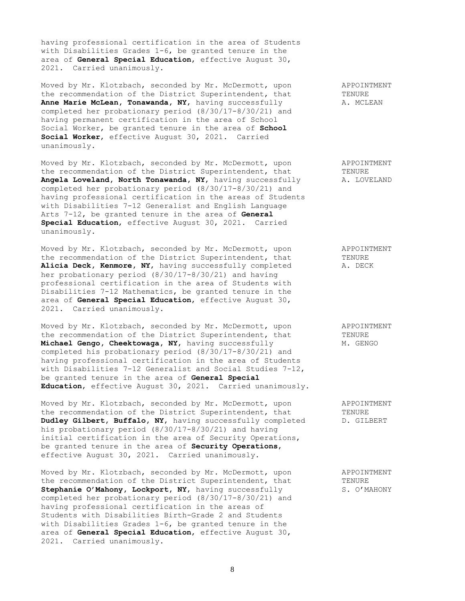having professional certification in the area of Students with Disabilities Grades 1-6, be granted tenure in the area of **General Special Education**, effective August 30, 2021. Carried unanimously.

Moved by Mr. Klotzbach, seconded by Mr. McDermott, upon APPOINTMENT the recommendation of the District Superintendent, that TENURE **Anne Marie McLean, Tonawanda, NY, having successfully A. MCLEAN** completed her probationary period (8/30/17-8/30/21) and having permanent certification in the area of School Social Worker, be granted tenure in the area of **School Social Worker**, effective August 30, 2021. Carried unanimously.

Moved by Mr. Klotzbach, seconded by Mr. McDermott, upon APPOINTMENT the recommendation of the District Superintendent, that TENURE<br> **Angela Loveland, North Tonawanda, NY,** having successfully A. LOVELAND Angela Loveland, North Tonawanda, NY, having successfully completed her probationary period (8/30/17-8/30/21) and having professional certification in the areas of Students with Disabilities 7-12 Generalist and English Language Arts 7-12, be granted tenure in the area of **General Special Education**, effective August 30, 2021. Carried unanimously.

Moved by Mr. Klotzbach, seconded by Mr. McDermott, upon appoint APPOINTMENT<br>the recommendation of the District Superintendent, that TENURE the recommendation of the District Superintendent, that Alicia Deck, Kenmore, NY, having successfully completed A. DECK her probationary period (8/30/17-8/30/21) and having professional certification in the area of Students with Disabilities 7-12 Mathematics, be granted tenure in the area of **General Special Education**, effective August 30, 2021. Carried unanimously.

Moved by Mr. Klotzbach, seconded by Mr. McDermott, upon APPOINTMENT the recommendation of the District Superintendent, that TENURE **Michael Gengo, Cheektowaga, NY, having successfully M. GENGO** completed his probationary period (8/30/17-8/30/21) and having professional certification in the area of Students with Disabilities 7-12 Generalist and Social Studies 7-12, be granted tenure in the area of **General Special Education**, effective August 30, 2021. Carried unanimously.

Moved by Mr. Klotzbach, seconded by Mr. McDermott, upon appoinTMENT<br>the recommendation of the District Superintendent, that TENURE the recommendation of the District Superintendent, that **Dudley Gilbert, Buffalo, NY, having successfully completed D. GILBERT** his probationary period (8/30/17-8/30/21) and having initial certification in the area of Security Operations, be granted tenure in the area of **Security Operations**, effective August 30, 2021. Carried unanimously.

Moved by Mr. Klotzbach, seconded by Mr. McDermott, upon APPOINTMENT the recommendation of the District Superintendent, that TENURE **Stephanie O'Mahony, Lockport, NY, having successfully S. O'MAHONY** completed her probationary period (8/30/17-8/30/21) and having professional certification in the areas of Students with Disabilities Birth-Grade 2 and Students with Disabilities Grades 1-6, be granted tenure in the area of **General Special Education**, effective August 30, 2021. Carried unanimously.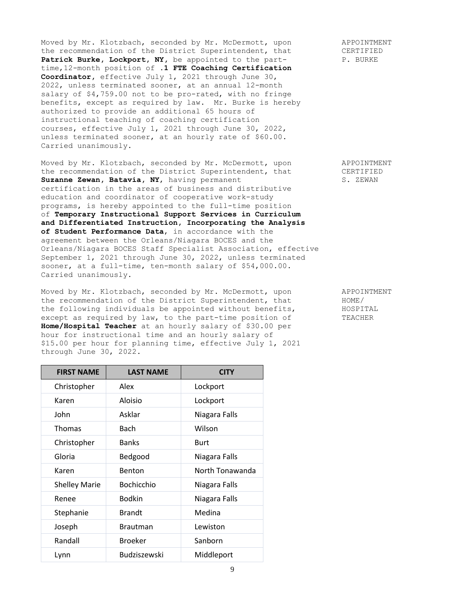Moved by Mr. Klotzbach, seconded by Mr. McDermott, upon APPOINTMENT the recommendation of the District Superintendent, that CERTIFIED<br> **Patrick Burke, Lockport, NY,** be appointed to the part-<br>
P. BURKE Patrick Burke, Lockport, NY, be appointed to the parttime,12-month position of **.1 FTE Coaching Certification Coordinator,** effective July 1, 2021 through June 30, 2022, unless terminated sooner, at an annual 12-month salary of \$4,759.00 not to be pro-rated, with no fringe benefits, except as required by law. Mr. Burke is hereby authorized to provide an additional 65 hours of instructional teaching of coaching certification courses, effective July 1, 2021 through June 30, 2022, unless terminated sooner, at an hourly rate of \$60.00. Carried unanimously.

Moved by Mr. Klotzbach, seconded by Mr. McDermott, upon APPOINTMENT the recommendation of the District Superintendent, that CERTIFIED **Suzanne Zewan, Batavia, NY, having permanent S. ZEWAN** certification in the areas of business and distributive education and coordinator of cooperative work-study programs, is hereby appointed to the full-time position of **Temporary Instructional Support Services in Curriculum and Differentiated Instruction, Incorporating the Analysis of Student Performance Data**, in accordance with the agreement between the Orleans/Niagara BOCES and the Orleans/Niagara BOCES Staff Specialist Association, effective September 1, 2021 through June 30, 2022, unless terminated sooner, at a full-time, ten-month salary of \$54,000.00. Carried unanimously.

Moved by Mr. Klotzbach, seconded by Mr. McDermott, upon APPOINTMENT the recommendation of the District Superintendent, that HOME/<br>the following individuals be appointed without benefits, HOSPITAL the following individuals be appointed without benefits,  $HOSPITAI$ <br>except as required by law, to the part-time position of TEACHER except as required by law, to the part-time position of **Home/Hospital Teacher** at an hourly salary of \$30.00 per hour for instructional time and an hourly salary of \$15.00 per hour for planning time, effective July 1, 2021 through June 30, 2022.

| <b>FIRST NAME</b>    | <b>LAST NAME</b>  | <b>CITY</b>     |
|----------------------|-------------------|-----------------|
| Christopher          | Alex              | Lockport        |
| Karen                | Aloisio           | Lockport        |
| John                 | Asklar            | Niagara Falls   |
| <b>Thomas</b>        | Bach              | Wilson          |
| Christopher          | <b>Banks</b>      | Burt            |
| Gloria               | Bedgood           | Niagara Falls   |
| Karen                | <b>Benton</b>     | North Tonawanda |
| <b>Shelley Marie</b> | <b>Bochicchio</b> | Niagara Falls   |
| Renee                | <b>Bodkin</b>     | Niagara Falls   |
| Stephanie            | <b>Brandt</b>     | Medina          |
| Joseph               | <b>Brautman</b>   | Lewiston        |
| Randall              | <b>Broeker</b>    | Sanborn         |
| Lynn                 | Budziszewski      | Middleport      |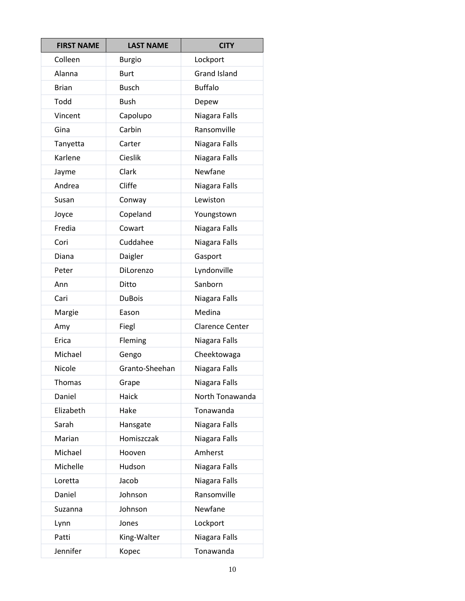| <b>FIRST NAME</b> | <b>LAST NAME</b> | <b>CITY</b>            |
|-------------------|------------------|------------------------|
| Colleen           | <b>Burgio</b>    | Lockport               |
| Alanna            | <b>Burt</b>      | <b>Grand Island</b>    |
| <b>Brian</b>      | <b>Busch</b>     | <b>Buffalo</b>         |
| Todd              | <b>Bush</b>      | Depew                  |
| Vincent           | Capolupo         | Niagara Falls          |
| Gina              | Carbin           | Ransomville            |
| Tanyetta          | Carter           | Niagara Falls          |
| Karlene           | Cieslik          | Niagara Falls          |
| Jayme             | Clark            | Newfane                |
| Andrea            | Cliffe           | Niagara Falls          |
| Susan             | Conway           | Lewiston               |
| Joyce             | Copeland         | Youngstown             |
| Fredia            | Cowart           | Niagara Falls          |
| Cori              | Cuddahee         | Niagara Falls          |
| Diana             | Daigler          | Gasport                |
| Peter             | DiLorenzo        | Lyndonville            |
| Ann               | Ditto            | Sanborn                |
| Cari              | <b>DuBois</b>    | Niagara Falls          |
| Margie            | Eason            | Medina                 |
| Amy               | Fiegl            | <b>Clarence Center</b> |
| Erica             | Fleming          | Niagara Falls          |
| Michael           | Gengo            | Cheektowaga            |
| Nicole            | Granto-Sheehan   | Niagara Falls          |
| Thomas            | Grape            | Niagara Falls          |
| Daniel            | Haick            | North Tonawanda        |
| Elizabeth         | Hake             | Tonawanda              |
| Sarah             | Hansgate         | Niagara Falls          |
| Marian            | Homiszczak       | Niagara Falls          |
| Michael           | Hooven           | Amherst                |
| Michelle          | Hudson           | Niagara Falls          |
| Loretta           | Jacob            | Niagara Falls          |
| Daniel            | Johnson          | Ransomville            |
| Suzanna           | Johnson          | Newfane                |
| Lynn              | Jones            | Lockport               |
| Patti             | King-Walter      | Niagara Falls          |
| Jennifer          | Kopec            | Tonawanda              |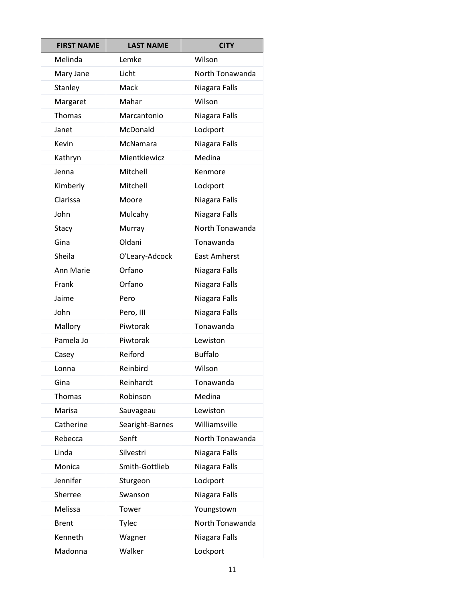| <b>FIRST NAME</b> | <b>LAST NAME</b> | <b>CITY</b>         |
|-------------------|------------------|---------------------|
| Melinda           | Lemke            | Wilson              |
| Mary Jane         | Licht            | North Tonawanda     |
| Stanley           | Mack             | Niagara Falls       |
| Margaret          | Mahar            | Wilson              |
| Thomas            | Marcantonio      | Niagara Falls       |
| Janet             | McDonald         | Lockport            |
| Kevin             | McNamara         | Niagara Falls       |
| Kathryn           | Mientkiewicz     | Medina              |
| Jenna             | Mitchell         | Kenmore             |
| Kimberly          | Mitchell         | Lockport            |
| Clarissa          | Moore            | Niagara Falls       |
| John              | Mulcahy          | Niagara Falls       |
| Stacy             | Murray           | North Tonawanda     |
| Gina              | Oldani           | Tonawanda           |
| Sheila            | O'Leary-Adcock   | <b>East Amherst</b> |
| Ann Marie         | Orfano           | Niagara Falls       |
| Frank             | Orfano           | Niagara Falls       |
| Jaime             | Pero             | Niagara Falls       |
| John              | Pero, III        | Niagara Falls       |
| Mallory           | Piwtorak         | Tonawanda           |
| Pamela Jo         | Piwtorak         | Lewiston            |
| Casey             | Reiford          | <b>Buffalo</b>      |
| Lonna             | Reinbird         | Wilson              |
| Gina              | Reinhardt        | Tonawanda           |
| <b>Thomas</b>     | Robinson         | Medina              |
| Marisa            | Sauvageau        | Lewiston            |
| Catherine         | Searight-Barnes  | Williamsville       |
| Rebecca           | Senft            | North Tonawanda     |
| Linda             | Silvestri        | Niagara Falls       |
| Monica            | Smith-Gottlieb   | Niagara Falls       |
| Jennifer          | Sturgeon         | Lockport            |
| Sherree           | Swanson          | Niagara Falls       |
| Melissa           | Tower            | Youngstown          |
| <b>Brent</b>      | Tylec            | North Tonawanda     |
| Kenneth           | Wagner           | Niagara Falls       |
| Madonna           | Walker           | Lockport            |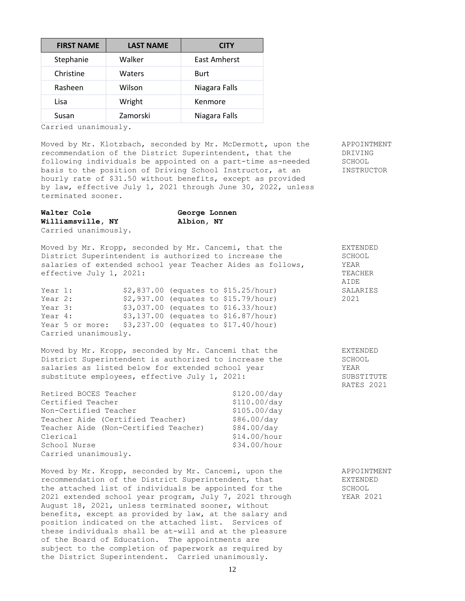| <b>FIRST NAME</b> | <b>LAST NAME</b> | CITY          |
|-------------------|------------------|---------------|
| Stephanie         | Walker           | East Amherst  |
| Christine         | Waters           | Burt          |
| Rasheen           | Wilson           | Niagara Falls |
| Lisa              | Wright           | Kenmore       |
| Susan             | Zamorski         | Niagara Falls |

Carried unanimously.

Moved by Mr. Klotzbach, seconded by Mr. McDermott, upon the APPOINTMENT recommendation of the District Superintendent, that the DRIVING following individuals be appointed on a part-time as-needed SCHOOL basis to the position of Driving School Instructor, at an INSTRUCTOR hourly rate of \$31.50 without benefits, except as provided by law, effective July 1, 2021 through June 30, 2022, unless terminated sooner.

| <b>Walter Cole</b>   | George Lonnen |
|----------------------|---------------|
| Williamsville, NY    | Albion, NY    |
| Carried unanimously. |               |

Moved by Mr. Kropp, seconded by Mr. Cancemi, that the EXTENDED District Superintendent is authorized to increase the SCHOOL salaries of extended school year Teacher Aides as follows,  $YEAR$ effective July 1, 2021: TEACHER

| Year 1:                                               |  | $$2,837.00$ (equates to $$15.25/hour$ ) | SALARIES |
|-------------------------------------------------------|--|-----------------------------------------|----------|
| Year 2:                                               |  | \$2,937.00 (equates to \$15.79/hour)    | 2021     |
| Year 3:                                               |  | $$3,037.00$ (equates to $$16.33/hour$ ) |          |
| Year 4:                                               |  | $$3,137.00$ (equates to $$16.87/hour$ ) |          |
| Year 5 or more: $$3,237.00$ (equates to \$17.40/hour) |  |                                         |          |
| Carried unanimously.                                  |  |                                         |          |

Moved by Mr. Kropp, seconded by Mr. Cancemi that the District Superintendent is authorized to increase the salaries as listed below for extended school year substitute employees, effective July 1, 2021:

| Retired BOCES Teacher                | \$120.00/day |
|--------------------------------------|--------------|
| Certified Teacher                    | \$110.00/day |
| Non-Certified Teacher                | \$105.00/day |
| Teacher Aide (Certified Teacher)     | \$86.00/day  |
| Teacher Aide (Non-Certified Teacher) | \$84.00/day  |
| Clerical                             | \$14.00/hour |
| School Nurse                         | \$34.00/hour |
| Carried unanimously.                 |              |

Moved by Mr. Kropp, seconded by Mr. Cancemi, upon the APPOINTMENT recommendation of the District Superintendent, that EXTENDED the attached list of individuals be appointed for the SCHOOL 2021 extended school year program, July 7, 2021 through YEAR 2021 August 18, 2021, unless terminated sooner, without benefits, except as provided by law, at the salary and position indicated on the attached list. Services of these individuals shall be at-will and at the pleasure of the Board of Education. The appointments are subject to the completion of paperwork as required by the District Superintendent. Carried unanimously.

| SALARIES<br>2021                                       |  |
|--------------------------------------------------------|--|
| EXTENDED<br>SCHOOL<br>YEAR<br>SUBSTITUTE<br>RATES 2021 |  |

**AIDE**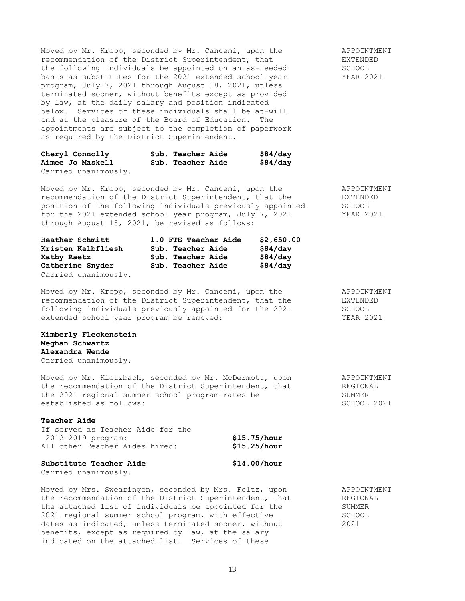Moved by Mr. Kropp, seconded by Mr. Cancemi, upon the APPOINTMENT<br>
recommendation of the District Superintendent, that ARYENDED recommendation of the District Superintendent, that the following individuals be appointed on an as-needed SCHOOL basis as substitutes for the 2021 extended school year YEAR 2021 program, July 7, 2021 through August 18, 2021, unless terminated sooner, without benefits except as provided by law, at the daily salary and position indicated below. Services of these individuals shall be at-will and at the pleasure of the Board of Education. The appointments are subject to the completion of paperwork as required by the District Superintendent.

| Cheryl Connolly      | Sub. Teacher Aide | \$84/day |
|----------------------|-------------------|----------|
| Aimee Jo Maskell     | Sub. Teacher Aide | \$84/day |
| Carried unanimously. |                   |          |

Moved by Mr. Kropp, seconded by Mr. Cancemi, upon the APPOINTMENT recommendation of the District Superintendent, that the EXTENDED position of the following individuals previously appointed SCHOOL for the 2021 extended school year program, July 7, 2021 YEAR 2021 through August 18, 2021, be revised as follows:

| Heather Schmitt      | 1.0 FTE Teacher Aide | \$2,650.00 |
|----------------------|----------------------|------------|
| Kristen Kalbfliesh   | Sub. Teacher Aide    | \$84/day   |
| Kathy Raetz          | Sub. Teacher Aide    | \$84/day   |
| Catherine Snyder     | Sub. Teacher Aide    | \$84/day   |
| Carried unanimously. |                      |            |

Moved by Mr. Kropp, seconded by Mr. Cancemi, upon the APPOINTMENT recommendation of the District Superintendent, that the EXTENDED following individuals previously appointed for the 2021 SCHOOL extended school year program be removed: YEAR 2021

### **Kimberly Fleckenstein Meghan Schwartz Alexandra Wende** Carried unanimously.

Moved by Mr. Klotzbach, seconded by Mr. McDermott, upon APPOINTMENT the recommendation of the District Superintendent, that **REGIONAL** the 2021 regional summer school program rates be SUMMER established as follows:  $SCHOOL 2021$ 

#### **Teacher Aide**

| If served as Teacher Aide for the |              |
|-----------------------------------|--------------|
| 2012-2019 program:                | \$15.75/hour |
| All other Teacher Aides hired:    | \$15.25/hour |
|                                   |              |

# **Substitute Teacher Aide \$14.00/hour**

Carried unanimously.

Moved by Mrs. Swearingen, seconded by Mrs. Feltz, upon APPOINTMENT the recommendation of the District Superintendent, that REGIONAL the attached list of individuals be appointed for the SUMMER 2021 regional summer school program, with effective SCHOOL dates as indicated, unless terminated sooner, without 2021 benefits, except as required by law, at the salary indicated on the attached list. Services of these

13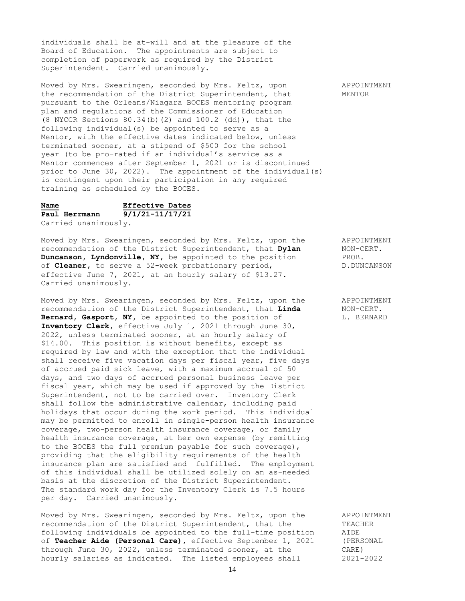individuals shall be at-will and at the pleasure of the Board of Education. The appointments are subject to completion of paperwork as required by the District Superintendent. Carried unanimously.

Moved by Mrs. Swearingen, seconded by Mrs. Feltz, upon APPOINTMENT the recommendation of the District Superintendent, that MENTOR pursuant to the Orleans/Niagara BOCES mentoring program plan and regulations of the Commissioner of Education (8 NYCCR Sections  $80.34(b)$  (2) and  $100.2$  (dd)), that the following individual(s) be appointed to serve as a Mentor, with the effective dates indicated below, unless terminated sooner, at a stipend of \$500 for the school year (to be pro-rated if an individual's service as a Mentor commences after September 1, 2021 or is discontinued prior to June 30, 2022). The appointment of the individual(s) is contingent upon their participation in any required training as scheduled by the BOCES.

# **Name Effective Dates Paul Herrmann 9/1/21-11/17/21**

Carried unanimously.

Moved by Mrs. Swearingen, seconded by Mrs. Feltz, upon the APPOINTMENT recommendation of the District Superintendent, that **Dylan** NON-CERT.<br>**Duncanson, Lyndonville, NY**, be appointed to the position PROB. **Duncanson, Lyndonville, NY,** be appointed to the position of **Cleaner**, to serve a 52-week probationary period, D.DUNCANSON effective June 7, 2021, at an hourly salary of \$13.27. Carried unanimously.

Moved by Mrs. Swearingen, seconded by Mrs. Feltz, upon the APPOINTMENT recommendation of the District Superintendent, that **Linda** MON-CERT. recommendation of the District Superintendent, that Linda **Bernard, Gasport, NY,** be appointed to the position of L. BERNARD **Inventory Clerk,** effective July 1, 2021 through June 30, 2022, unless terminated sooner, at an hourly salary of \$14.00. This position is without benefits, except as required by law and with the exception that the individual shall receive five vacation days per fiscal year, five days of accrued paid sick leave, with a maximum accrual of 50 days, and two days of accrued personal business leave per fiscal year, which may be used if approved by the District Superintendent, not to be carried over. Inventory Clerk shall follow the administrative calendar, including paid holidays that occur during the work period. This individual may be permitted to enroll in single-person health insurance coverage, two-person health insurance coverage, or family health insurance coverage, at her own expense (by remitting to the BOCES the full premium payable for such coverage), providing that the eligibility requirements of the health insurance plan are satisfied and fulfilled. The employment of this individual shall be utilized solely on an as-needed basis at the discretion of the District Superintendent. The standard work day for the Inventory Clerk is 7.5 hours per day. Carried unanimously.

Moved by Mrs. Swearingen, seconded by Mrs. Feltz, upon the APPOINTMENT recommendation of the District Superintendent, that the TEACHER following individuals be appointed to the full-time position AIDE<br>of **Teacher Aide (Personal Care)**, effective September 1, 2021 (PERSONAL of **Teacher Aide (Personal Care),** effective September 1, 2021 through June 30, 2022, unless terminated sooner, at the CARE) hourly salaries as indicated. The listed employees shall 2021-2022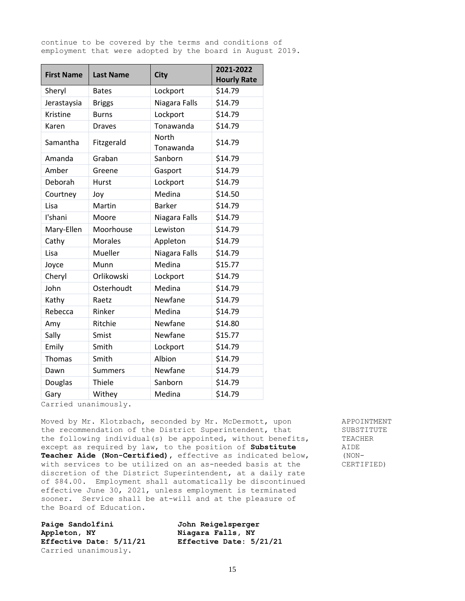continue to be covered by the terms and conditions of employment that were adopted by the board in August 2019.

| <b>First Name</b> | <b>Last Name</b> | <b>City</b>        | 2021-2022          |  |  |
|-------------------|------------------|--------------------|--------------------|--|--|
|                   |                  |                    | <b>Hourly Rate</b> |  |  |
| Sheryl            | <b>Bates</b>     | Lockport           | \$14.79            |  |  |
| Jerastaysia       | <b>Briggs</b>    | Niagara Falls      | \$14.79            |  |  |
| Kristine          | <b>Burns</b>     | Lockport           | \$14.79            |  |  |
| Karen             | <b>Draves</b>    | Tonawanda          | \$14.79            |  |  |
| Samantha          | Fitzgerald       | North<br>Tonawanda | \$14.79            |  |  |
| Amanda            | Graban           | Sanborn            | \$14.79            |  |  |
| Amber             | Greene           | Gasport            | \$14.79            |  |  |
| Deborah           | Hurst            | Lockport           | \$14.79            |  |  |
| Courtney          | Joy              | Medina             | \$14.50            |  |  |
| Lisa              | Martin           | <b>Barker</b>      | \$14.79            |  |  |
| I'shani           | Moore            | Niagara Falls      | \$14.79            |  |  |
| Mary-Ellen        | Moorhouse        | Lewiston           | \$14.79            |  |  |
| Cathy             | <b>Morales</b>   | Appleton           | \$14.79            |  |  |
| Lisa              | Mueller          | Niagara Falls      | \$14.79            |  |  |
| Joyce             | Munn             | Medina             | \$15.77            |  |  |
| Cheryl            | Orlikowski       | Lockport           | \$14.79            |  |  |
| John              | Osterhoudt       | Medina             | \$14.79            |  |  |
| Kathy             | Raetz            | Newfane            | \$14.79            |  |  |
| Rebecca           | Rinker           | Medina             | \$14.79            |  |  |
| Amy               | Ritchie          | Newfane            | \$14.80            |  |  |
| Sally             | Smist            | Newfane            | \$15.77            |  |  |
| Emily             | Smith            | Lockport           | \$14.79            |  |  |
| <b>Thomas</b>     | Smith            | Albion             | \$14.79            |  |  |
| Dawn              | <b>Summers</b>   | Newfane            | \$14.79            |  |  |
| Douglas           | Thiele           | Sanborn            | \$14.79            |  |  |
| Gary              | Withey           | Medina             | \$14.79            |  |  |

Carried unanimously.

Moved by Mr. Klotzbach, seconded by Mr. McDermott, upon APPOINTMENT the recommendation of the District Superintendent, that SUBSTITUTE the following individual(s) be appointed, without benefits, TEACHER except as required by law, to the position of **Substitute** AIDE **Teacher Aide (Non-Certified),** effective as indicated below, (NONwith services to be utilized on an as-needed basis at the CERTIFIED) discretion of the District Superintendent, at a daily rate of \$84.00. Employment shall automatically be discontinued effective June 30, 2021, unless employment is terminated sooner. Service shall be at-will and at the pleasure of the Board of Education.

**Paige Sandolfini John Reigelsperger Appleton, NY Niagara Falls, NY** Carried unanimously.

**Effective Date: 5/11/21 Effective Date: 5/21/21**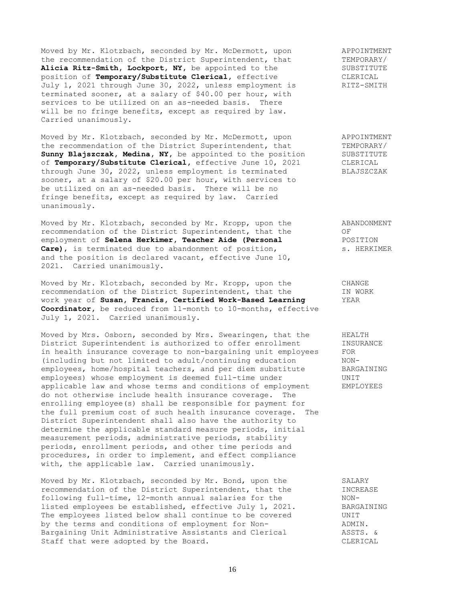Moved by Mr. Klotzbach, seconded by Mr. McDermott, upon and APPOINTMENT<br>the recommendation of the District Superintendent, that TEMPORARY/ the recommendation of the District Superintendent, that TEMPORARY/<br> **Alicia Ritz-Smith, Lockport, NY,** be appointed to the SUBSTITUTE Alicia Ritz-Smith, Lockport, NY, be appointed to the SUBSTITU.<br>position of Temporary/Substitute Clerical, effective CLERICAL position of Temporary/Substitute Clerical, effective July 1, 2021 through June 30, 2022, unless employment is RITZ-SMITH terminated sooner, at a salary of \$40.00 per hour, with services to be utilized on an as-needed basis. There will be no fringe benefits, except as required by law. Carried unanimously.

Moved by Mr. Klotzbach, seconded by Mr. McDermott, upon APPOINTMENT the recommendation of the District Superintendent, that TEMPORARY/ Sunny Blajszczak, Medina, NY, be appointed to the position SUBSTITUTE of **Temporary/Substitute Clerical,** effective June 10, 2021 CLERICAL through June 30, 2022, unless employment is terminated BLAJSZCZAK sooner, at a salary of \$20.00 per hour, with services to be utilized on an as-needed basis. There will be no fringe benefits, except as required by law. Carried unanimously.

Moved by Mr. Klotzbach, seconded by Mr. Kropp, upon the ABANDONMENT recommendation of the District Superintendent, that the OF<br>employment of Selena Herkimer, Teacher Aide (Personal POSITION recommendation of the *resortion* of the **Resonal** employment of **Selena Herkimer, Teacher Aide (Personal Care)**, is terminated due to abandonment of position, s. HERKIMER and the position is declared vacant, effective June 10, 2021. Carried unanimously.

Moved by Mr. Klotzbach, seconded by Mr. Kropp, upon the CHANGE recommendation of the District Superintendent, that the IN WORK<br>work year of Susan. Francis. Certified Work-Based Learning YEAR work year of Susan, Francis, Certified Work-Based Learning **Coordinator,** be reduced from 11-month to 10-months, effective July 1, 2021. Carried unanimously.

Moved by Mrs. Osborn, seconded by Mrs. Swearingen, that the HEALTH District Superintendent is authorized to offer enrollment INSURANCE in health insurance coverage to non-bargaining unit employees FOR (including but not limited to adult/continuing education NONemployees, home/hospital teachers, and per diem substitute BARGAINING employees) whose employment is deemed full-time under UNIT applicable law and whose terms and conditions of employment EMPLOYEES do not otherwise include health insurance coverage. The enrolling employee(s) shall be responsible for payment for the full premium cost of such health insurance coverage. The District Superintendent shall also have the authority to determine the applicable standard measure periods, initial measurement periods, administrative periods, stability periods, enrollment periods, and other time periods and procedures, in order to implement, and effect compliance with, the applicable law. Carried unanimously.

Moved by Mr. Klotzbach, seconded by Mr. Bond, upon the SALARY<br>recommendation of the District Superintendent, that the SINCREASE recommendation of the District Superintendent, that the following full-time, 12-month annual salaries for the NONlisted employees be established, effective July 1, 2021. BARGAINING The employees listed below shall continue to be covered UNIT by the terms and conditions of employment for Non- ADMIN. Bargaining Unit Administrative Assistants and Clerical ASSTS. & Staff that were adopted by the Board. The contract of the CLERICAL CLERICAL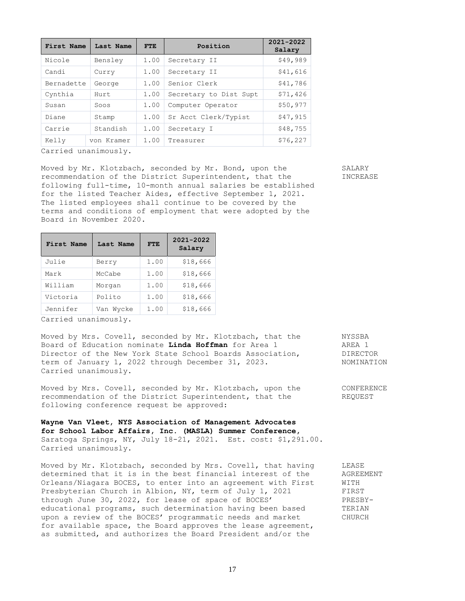| First Name | Last Name  | <b>FTE</b> | Position               | 2021-2022<br>Salary |
|------------|------------|------------|------------------------|---------------------|
| Nicole     | Bensley    | 1.00       | Secretary II           | \$49,989            |
| Candi      | Curry      | 1.00       | Secretary II           | \$41,616            |
| Bernadette | George     | 1.00       | Senior Clerk           | \$41,786            |
| Cynthia    | Hurt.      | 1.00       | Secretary to Dist Supt | \$71,426            |
| Susan      | Soos       | 1.00       | Computer Operator      | \$50,977            |
| Diane      | Stamp      | 1.00       | Sr Acct Clerk/Typist   | \$47,915            |
| Carrie     | Standish   | 1.00       | Secretary I            | \$48,755            |
| Kelly      | von Kramer | 1.00       | Treasurer              | \$76, 227           |
|            |            |            |                        |                     |

Carried unanimously.

Moved by Mr. Klotzbach, seconded by Mr. Bond, upon the SALARY recommendation of the District Superintendent, that the  $I$  INCREASE following full-time, 10-month annual salaries be established for the listed Teacher Aides, effective September 1, 2021. The listed employees shall continue to be covered by the terms and conditions of employment that were adopted by the Board in November 2020.

| <b>First Name</b> | Last Name | <b>FTE</b> | 2021-2022<br>Salary |
|-------------------|-----------|------------|---------------------|
| Julie             | Berry     | 1.00       | \$18,666            |
| Mark              | McCabe    | 1.00       | \$18,666            |
| William           | Morgan    | 1.00       | \$18,666            |
| Victoria          | Polito    | 1.00       | \$18,666            |
| Jennifer          | Van Wycke | 1.00       | \$18,666            |

Carried unanimously.

Moved by Mrs. Covell, seconded by Mr. Klotzbach, that the NYSSBA Board of Education nominate **Linda Hoffman** for Area 1 AREA 1 Director of the New York State School Boards Association, DIRECTOR term of January 1, 2022 through December 31, 2023. NOMINATION Carried unanimously.

Moved by Mrs. Covell, seconded by Mr. Klotzbach, upon the CONFERENCE recommendation of the District Superintendent, that the REQUEST following conference request be approved:

**Wayne Van Vleet, NYS Association of Management Advocates for School Labor Affairs, Inc. (MASLA) Summer Conference,** Saratoga Springs, NY, July 18-21, 2021. Est. cost: \$1,291.00. Carried unanimously.

Moved by Mr. Klotzbach, seconded by Mrs. Covell, that having LEASE determined that it is in the best financial interest of the AGREEMENT Orleans/Niagara BOCES, to enter into an agreement with First WITH Presbyterian Church in Albion, NY, term of July 1, 2021 FIRST through June 30, 2022, for lease of space of BOCES' PRESBYeducational programs, such determination having been based TERIAN upon a review of the BOCES' programmatic needs and market CHURCH for available space, the Board approves the lease agreement, as submitted, and authorizes the Board President and/or the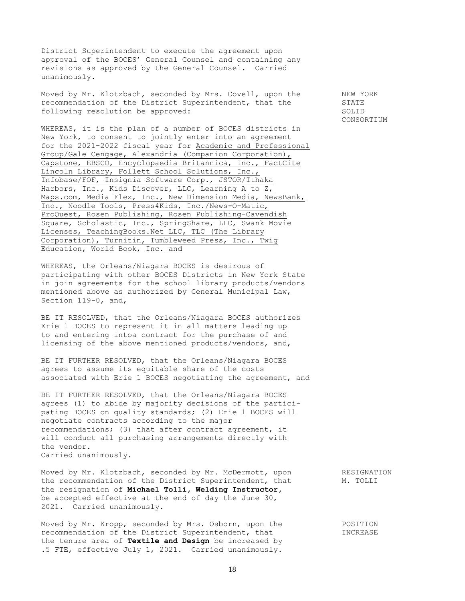District Superintendent to execute the agreement upon approval of the BOCES' General Counsel and containing any revisions as approved by the General Counsel. Carried unanimously.

Moved by Mr. Klotzbach, seconded by Mrs. Covell, upon the NEW YORK recommendation of the District Superintendent, that the STATE following resolution be approved: SOLID

WHEREAS, it is the plan of a number of BOCES districts in New York, to consent to jointly enter into an agreement for the 2021-2022 fiscal year for Academic and Professional Group/Gale Cengage, Alexandria (Companion Corporation), Capstone, EBSCO, Encyclopaedia Britannica, Inc., FactCite Lincoln Library, Follett School Solutions, Inc., Infobase/FOF, Insignia Software Corp., JSTOR/Ithaka Harbors, Inc., Kids Discover, LLC, Learning A to Z, Maps.com, Media Flex, Inc., New Dimension Media, NewsBank, Inc., Noodle Tools, Press4Kids, Inc./News-O-Matic, ProQuest, Rosen Publishing, Rosen Publishing-Cavendish Square, Scholastic, Inc., SpringShare, LLC, Swank Movie Licenses, TeachingBooks.Net LLC, TLC (The Library Corporation), Turnitin, Tumbleweed Press, Inc., Twig Education, World Book, Inc. and

WHEREAS, the Orleans/Niagara BOCES is desirous of participating with other BOCES Districts in New York State in join agreements for the school library products/vendors mentioned above as authorized by General Municipal Law, Section 119-0, and,

BE IT RESOLVED, that the Orleans/Niagara BOCES authorizes Erie 1 BOCES to represent it in all matters leading up to and entering intoa contract for the purchase of and licensing of the above mentioned products/vendors, and,

BE IT FURTHER RESOLVED, that the Orleans/Niagara BOCES agrees to assume its equitable share of the costs associated with Erie 1 BOCES negotiating the agreement, and

BE IT FURTHER RESOLVED, that the Orleans/Niagara BOCES agrees (1) to abide by majority decisions of the participating BOCES on quality standards; (2) Erie 1 BOCES will negotiate contracts according to the major recommendations; (3) that after contract agreement, it will conduct all purchasing arrangements directly with the vendor. Carried unanimously.

Moved by Mr. Klotzbach, seconded by Mr. McDermott, upon RESIGNATION the recommendation of the District Superintendent, that M. TOLLI the resignation of **Michael Tolli, Welding Instructor,**  be accepted effective at the end of day the June 30, 2021. Carried unanimously.

Moved by Mr. Kropp, seconded by Mrs. Osborn, upon the POSITION recommendation of the District Superintendent, that INCREASE the tenure area of **Textile and Design** be increased by .5 FTE, effective July 1, 2021. Carried unanimously.

CONSORTIUM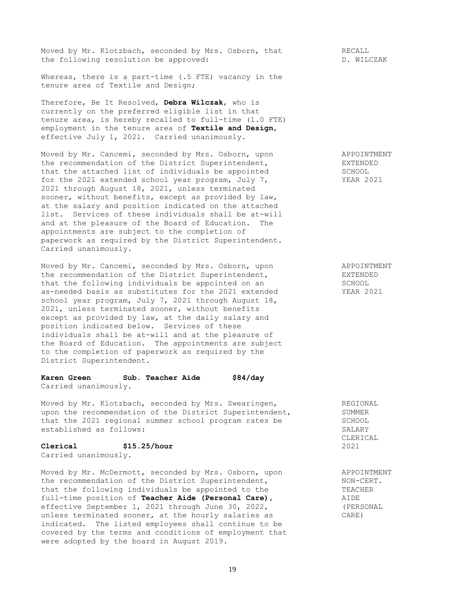Moved by Mr. Klotzbach, seconded by Mrs. Osborn, that RECALL the following resolution be approved: The process of the set of the following resolution be approved:

Whereas, there is a part-time (.5 FTE) vacancy in the tenure area of Textile and Design;

Therefore, Be It Resolved, **Debra Wilczak**, who is currently on the preferred eligible list in that tenure area, is hereby recalled to full-time (1.0 FTE) employment in the tenure area of **Textile and Design**, effective July 1, 2021. Carried unanimously.

Moved by Mr. Cancemi, seconded by Mrs. Osborn, upon APPOINTMENT the recommendation of the District Superintendent, EXTENDED that the attached list of individuals be appointed SCHOOL SCHOOL<br>for the 2021 extended school year program, July 7, STEAR 2021 for the 2021 extended school year program, July 7, 2021 through August 18, 2021, unless terminated sooner, without benefits, except as provided by law, at the salary and position indicated on the attached list. Services of these individuals shall be at-will and at the pleasure of the Board of Education. The appointments are subject to the completion of paperwork as required by the District Superintendent. Carried unanimously.

Moved by Mr. Cancemi, seconded by Mrs. Osborn, upon APPOINTMENT the recommendation of the District Superintendent, EXTENDED that the following individuals be appointed on an SCHOOL as-needed basis as substitutes for the 2021 extended YEAR 2021 school year program, July 7, 2021 through August 18, 2021, unless terminated sooner, without benefits except as provided by law, at the daily salary and position indicated below. Services of these individuals shall be at-will and at the pleasure of the Board of Education. The appointments are subject to the completion of paperwork as required by the District Superintendent.

**Karen Green Sub. Teacher Aide \$84/day** Carried unanimously.

Moved by Mr. Klotzbach, seconded by Mrs. Swearingen, The REGIONAL REGIONAL REGIONAL REGIONAL upon the recommendation of the District Superintendent, that the 2021 regional summer school program rates be SCHOOL established as follows: SALARY

## **Clerical \$15.25/hour 2021**

Carried unanimously.

Moved by Mr. McDermott, seconded by Mrs. Osborn, upon APPOINTMENT the recommendation of the District Superintendent, NON-CERT. that the following individuals be appointed to the TEACHER<br>full-time position of **Teacher Aide (Personal Care)**, AIDE full-time position of **Teacher Aide (Personal Care)**, effective September 1, 2021 through June 30, 2022, (PERSONAL unless terminated sooner, at the hourly salaries as CARE) indicated. The listed employees shall continue to be covered by the terms and conditions of employment that were adopted by the board in August 2019.

CLERICAL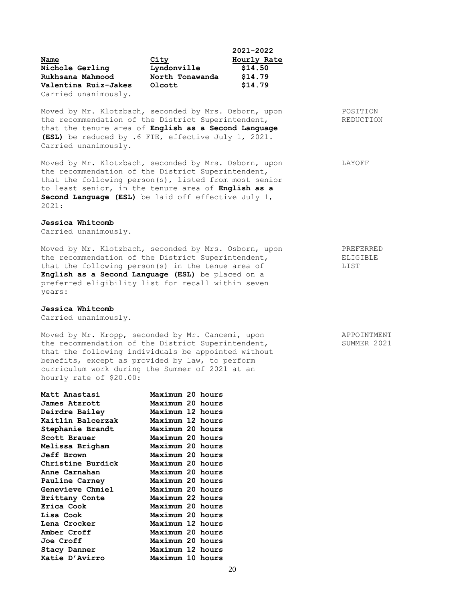|                      |                 | 2021-2022   |
|----------------------|-----------------|-------------|
| Name                 | City            | Hourly Rate |
| Nichole Gerling      | Lyndonville     | \$14.50     |
| Rukhsana Mahmood     | North Tonawanda | \$14.79     |
| Valentina Ruiz-Jakes | Olcott          | \$14.79     |
| Carried unanimously. |                 |             |

Moved by Mr. Klotzbach, seconded by Mrs. Osborn, upon POSITION the recommendation of the District Superintendent, REDUCTION that the tenure area of **English as a Second Language (ESL)** be reduced by .6 FTE, effective July 1, 2021. Carried unanimously.

Moved by Mr. Klotzbach, seconded by Mrs. Osborn, upon LAYOFF the recommendation of the District Superintendent, that the following person(s), listed from most senior to least senior, in the tenure area of **English as a Second Language (ESL)** be laid off effective July 1, 2021:

#### **Jessica Whitcomb**

Carried unanimously.

Moved by Mr. Klotzbach, seconded by Mrs. Osborn, upon PREFERRED<br>the recommendation of the District Superintendent. the recommendation of the District Superintendent, that the following person(s) in the tenue area of LIST **English as a Second Language (ESL)** be placed on a preferred eligibility list for recall within seven years:

#### **Jessica Whitcomb**

Carried unanimously.

Moved by Mr. Kropp, seconded by Mr. Cancemi, upon APPOINTMENT the recommendation of the District Superintendent, SUMMER 2021 that the following individuals be appointed without benefits, except as provided by law, to perform curriculum work during the Summer of 2021 at an hourly rate of \$20.00:

| Matt Anastasi           | Maximum 20 hours |  |
|-------------------------|------------------|--|
| James Atzrott           | Maximum 20 hours |  |
| Deirdre Bailey          | Maximum 12 hours |  |
| Kaitlin Balcerzak       | Maximum 12 hours |  |
| Stephanie Brandt        | Maximum 20 hours |  |
| Scott Brauer            | Maximum 20 hours |  |
| Melissa Brigham         | Maximum 20 hours |  |
| <b>Jeff Brown</b>       | Maximum 20 hours |  |
| Christine Burdick       | Maximum 20 hours |  |
| Anne Carnahan           | Maximum 20 hours |  |
| Pauline Carney          | Maximum 20 hours |  |
| <b>Genevieve Chmiel</b> | Maximum 20 hours |  |
| Brittany Conte          | Maximum 22 hours |  |
| Erica Cook              | Maximum 20 hours |  |
| Lisa Cook               | Maximum 20 hours |  |
| Lena Crocker            | Maximum 12 hours |  |
| Amber Croff             | Maximum 20 hours |  |
| <b>Joe Croff</b>        | Maximum 20 hours |  |
| Stacy Danner            | Maximum 12 hours |  |
| Katie D'Avirro          | Maximum 10 hours |  |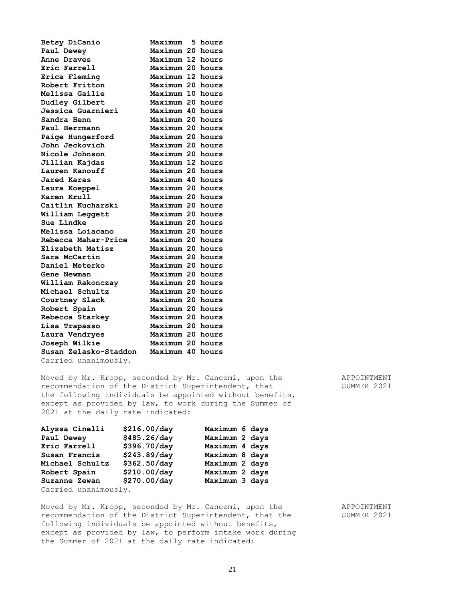| Betsy DiCanio                         | Maximum    | 5. | hours |
|---------------------------------------|------------|----|-------|
| Paul Dewey                            | Maximum 20 |    | hours |
| Anne Draves                           | Maximum 12 |    | hours |
| Eric Farrell                          | Maximum 20 |    | hours |
| Erica Fleming                         | Maximum 12 |    | hours |
| Robert Fritton                        | Maximum 20 |    | hours |
| Melissa Gailie                        | Maximum 10 |    | hours |
| Dudley Gilbert                        | Maximum 20 |    | hours |
| Jessica Guarnieri                     | Maximum 40 |    | hours |
| Sandra Henn                           | Maximum 20 |    | hours |
| Paul Herrmann                         | Maximum 20 |    | hours |
| Paige Hungerford                      | Maximum 20 |    | hours |
| John Jeckovich                        | Maximum 20 |    | hours |
| Nicole Johnson                        | Maximum 20 |    | hours |
| Jillian Kajdas                        | Maximum 12 |    | hours |
| Lauren Kanouff                        | Maximum 20 |    | hours |
| Jared Karas                           | Maximum 40 |    | hours |
| Laura Koeppel                         | Maximum 20 |    | hours |
| Karen Krull                           | Maximum 20 |    | hours |
| Caitlin Kucharski                     | Maximum 20 |    | hours |
| William Leggett                       | Maximum 20 |    | hours |
| Sue Lindke                            | Maximum 20 |    | hours |
| Melissa Loiacano                      | Maximum 20 |    | hours |
| Rebecca Mahar-Price                   | Maximum 20 |    | hours |
| Elizabeth Matisz                      | Maximum 20 |    | hours |
| Sara McCartin                         | Maximum 20 |    | hours |
| Daniel Meterko                        | Maximum 20 |    | hours |
| Gene Newman                           | Maximum 20 |    | hours |
| William Rakonczay                     | Maximum 20 |    | hours |
| Michael Schultz                       | Maximum 20 |    | hours |
| Courtney Slack                        | Maximum 20 |    | hours |
| Robert Spain                          | Maximum 20 |    | hours |
| Rebecca Starkey                       | Maximum 20 |    | hours |
| Lisa Trapasso                         | Maximum 20 |    | hours |
| Laura Vendryes                        | Maximum 20 |    | hours |
| Joseph Wilkie                         | Maximum 20 |    | hours |
| Susan Zelasko-Staddon                 | Maximum 40 |    | hours |
| $\alpha$ and all national material in |            |    |       |

Carried unanimously.

Moved by Mr. Kropp, seconded by Mr. Cancemi, upon the APPOINTMENT recommendation of the District Superintendent, that SUMMER 2021 the following individuals be appointed without benefits, except as provided by law, to work during the Summer of 2021 at the daily rate indicated:

| Alyssa Cinelli       | \$216.00/day | Maximum 6 days |  |
|----------------------|--------------|----------------|--|
| Paul Dewey           | \$485.26/day | Maximum 2 days |  |
| Eric Farrell         | \$396.70/day | Maximum 4 days |  |
| Susan Francis        | \$243.89/day | Maximum 8 days |  |
| Michael Schultz      | \$362.50/day | Maximum 2 days |  |
| Robert Spain         | \$210.00/day | Maximum 2 days |  |
| Suzanne Zewan        | \$270.00/day | Maximum 3 days |  |
| Carried unanimously. |              |                |  |

Moved by Mr. Kropp, seconded by Mr. Cancemi, upon the APPOINTMENT recommendation of the District Superintendent, that the SUMMER 2021 recommendation of the District Superintendent, that the following individuals be appointed without benefits, except as provided by law, to perform intake work during the Summer of 2021 at the daily rate indicated: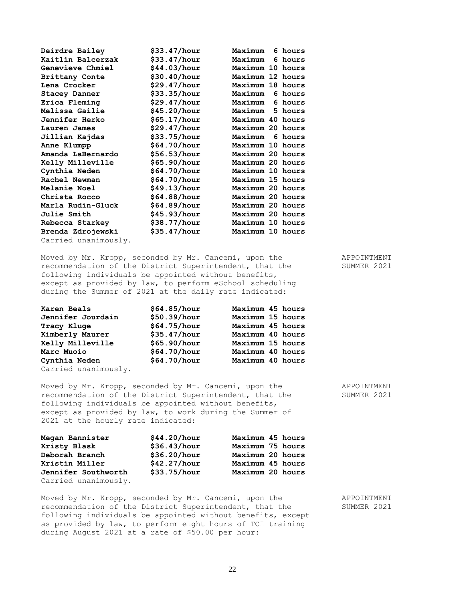| Deirdre Bailey        | \$33.47/hour | Maximum          | 6 hours |
|-----------------------|--------------|------------------|---------|
| Kaitlin Balcerzak     | \$33.47/hour | Maximum          | 6 hours |
| Genevieve Chmiel      | \$44.03/hour | Maximum 10 hours |         |
| <b>Brittany Conte</b> | \$30.40/hour | Maximum 12 hours |         |
| Lena Crocker          | \$29.47/hour | Maximum 18 hours |         |
| <b>Stacey Danner</b>  | \$33.35/hour | Maximum          | 6 hours |
| Erica Fleming         | \$29.47/hour | Maximum          | 6 hours |
| Melissa Gailie        | \$45.20/hour | Maximum          | 5 hours |
| Jennifer Herko        | \$65.17/hour | Maximum 40 hours |         |
| Lauren James          | \$29.47/hour | Maximum 20 hours |         |
| Jillian Kajdas        | \$33.75/hour | Maximum          | 6 hours |
| Anne Klumpp           | \$64.70/hour | Maximum 10 hours |         |
| Amanda LaBernardo     | \$56.53/hour | Maximum 20 hours |         |
| Kelly Milleville      | \$65.90/hour | Maximum 20 hours |         |
| Cynthia Neden         | \$64.70/hour | Maximum 10 hours |         |
| Rachel Newman         | \$64.70/hour | Maximum 15 hours |         |
| Melanie Noel          | \$49.13/hour | Maximum 20 hours |         |
| Christa Rocco         | \$64.88/hour | Maximum 20 hours |         |
| Marla Rudin-Gluck     | \$64.89/hour | Maximum 20 hours |         |
| <b>Julie Smith</b>    | \$45.93/hour | Maximum 20 hours |         |
| Rebecca Starkey       | \$38.77/hour | Maximum 10 hours |         |
| Brenda Zdrojewski     | \$35.47/hour | Maximum 10 hours |         |
| Carried unanimously.  |              |                  |         |

Moved by Mr. Kropp, seconded by Mr. Cancemi, upon the APPOINTMENT recommendation of the District Superintendent, that the SUMMER 2021 following individuals be appointed without benefits, except as provided by law, to perform eSchool scheduling during the Summer of 2021 at the daily rate indicated:

| Karen Beals          | \$64.85/hour | Maximum 45 hours |  |
|----------------------|--------------|------------------|--|
| Jennifer Jourdain    | \$50.39/hour | Maximum 15 hours |  |
| Tracy Kluge          | \$64.75/hour | Maximum 45 hours |  |
| Kimberly Maurer      | \$35.47/hour | Maximum 40 hours |  |
| Kelly Milleville     | \$65.90/hour | Maximum 15 hours |  |
| Marc Muoio           | \$64.70/hour | Maximum 40 hours |  |
| Cynthia Neden        | \$64.70/hour | Maximum 40 hours |  |
| Carried unanimously. |              |                  |  |

Moved by Mr. Kropp, seconded by Mr. Cancemi, upon the APPOINTMENT recommendation of the District Superintendent, that the SUMMER 2021 following individuals be appointed without benefits, except as provided by law, to work during the Summer of 2021 at the hourly rate indicated:

| Megan Bannister      | \$44.20/hour | Maximum 45 hours |
|----------------------|--------------|------------------|
| Kristy Blask         | \$36.43/hour | Maximum 75 hours |
| Deborah Branch       | \$36.20/hour | Maximum 20 hours |
| Kristin Miller       | \$42.27/hour | Maximum 45 hours |
| Jennifer Southworth  | \$33.75/hour | Maximum 20 hours |
| Carried unanimously. |              |                  |

Moved by Mr. Kropp, seconded by Mr. Cancemi, upon the APPOINTMENT recommendation of the District Superintendent, that the SUMMER 2021 following individuals be appointed without benefits, except as provided by law, to perform eight hours of TCI training during August 2021 at a rate of \$50.00 per hour: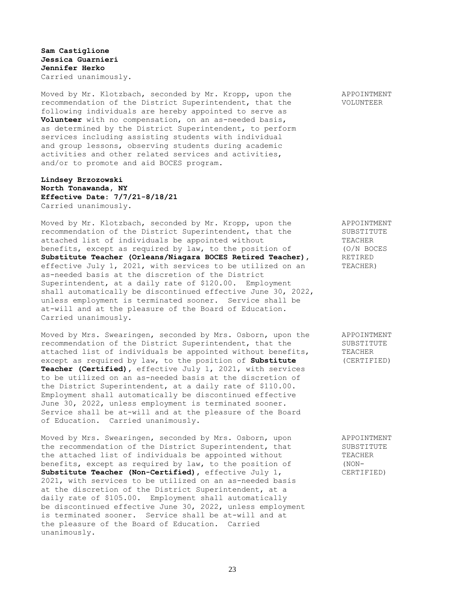**Sam Castiglione Jessica Guarnieri Jennifer Herko** Carried unanimously.

Moved by Mr. Klotzbach, seconded by Mr. Kropp, upon the APPOINTMENT recommendation of the District Superintendent, that the VOLUNTEER following individuals are hereby appointed to serve as **Volunteer** with no compensation, on an as-needed basis, as determined by the District Superintendent, to perform services including assisting students with individual and group lessons, observing students during academic activities and other related services and activities, and/or to promote and aid BOCES program.

# **Lindsey Brzozowski North Tonawanda, NY Effective Date: 7/7/21-8/18/21** Carried unanimously.

Moved by Mr. Klotzbach, seconded by Mr. Kropp, upon the APPOINTMENT recommendation of the District Superintendent, that the SUBSTITUTE attached list of individuals be appointed without TEACHER benefits, except as required by law, to the position of (O/N BOCES **Substitute Teacher (Orleans/Niagara BOCES Retired Teacher),** RETIRED effective July 1, 2021, with services to be utilized on an TEACHER) as-needed basis at the discretion of the District Superintendent, at a daily rate of \$120.00. Employment shall automatically be discontinued effective June 30, 2022, unless employment is terminated sooner. Service shall be at-will and at the pleasure of the Board of Education. Carried unanimously.

Moved by Mrs. Swearingen, seconded by Mrs. Osborn, upon the APPOINTMENT recommendation of the District Superintendent, that the SUBSTITUTE attached list of individuals be appointed without benefits, TEACHER except as required by law, to the position of **Substitute** (CERTIFIED) **Teacher (Certified),** effective July 1, 2021, with services to be utilized on an as-needed basis at the discretion of the District Superintendent, at a daily rate of \$110.00. Employment shall automatically be discontinued effective June 30, 2022, unless employment is terminated sooner. Service shall be at-will and at the pleasure of the Board of Education. Carried unanimously.

Moved by Mrs. Swearingen, seconded by Mrs. Osborn, upon APPOINTMENT the recommendation of the District Superintendent, that SUBSTITUTE the attached list of individuals be appointed without TEACHER benefits, except as required by law, to the position of (NON-**Substitute Teacher (Non-Certified),** effective July 1, CERTIFIED) 2021, with services to be utilized on an as-needed basis at the discretion of the District Superintendent, at a daily rate of \$105.00. Employment shall automatically be discontinued effective June 30, 2022, unless employment is terminated sooner. Service shall be at-will and at the pleasure of the Board of Education. Carried unanimously.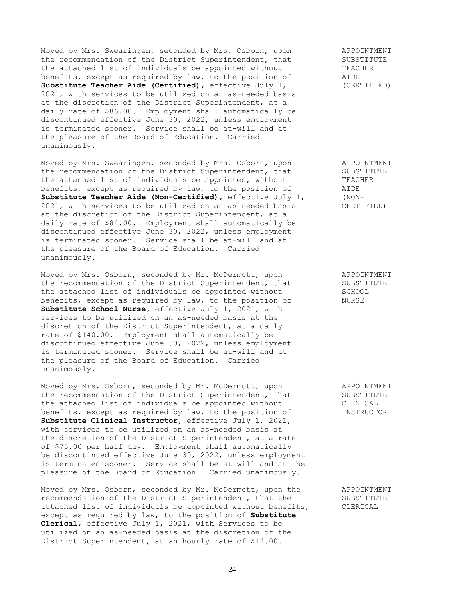Moved by Mrs. Swearingen, seconded by Mrs. Osborn, upon a APPOINTMENT<br>the recommendation of the District Superintendent, that SUBSTITUTE the recommendation of the District Superintendent, that SUBSTITUTE SUBSTITUTE:  $\frac{1}{100}$  SUBSTITUTE SUBSTITUTE TEACHER the attached list of individuals be appointed without TEACH<br>benefits, except as required by law, to the position of TEACHERRER benefits, except as required by law, to the position of **Substitute Teacher Aide (Certified),** effective July 1, (CERTIFIED) 2021, with services to be utilized on an as-needed basis at the discretion of the District Superintendent, at a daily rate of \$86.00. Employment shall automatically be discontinued effective June 30, 2022, unless employment is terminated sooner. Service shall be at-will and at the pleasure of the Board of Education. Carried unanimously.

Moved by Mrs. Swearingen, seconded by Mrs. Osborn, upon APPOINTMENT the recommendation of the District Superintendent, that SUBSTITUTE<br>the attached list of individuals be appointed, without TEACHER the attached list of individuals be appointed, without benefits, except as required by law, to the position of AIDE<br> **Substitute Teacher Aide (Non-Certified)**, effective July 1, (NON-**Substitute Teacher Aide (Non-Certified)**, effective July 1, 2021, with services to be utilized on an as-needed basis CERTIFIED) at the discretion of the District Superintendent, at a daily rate of \$84.00. Employment shall automatically be discontinued effective June 30, 2022, unless employment is terminated sooner. Service shall be at-will and at the pleasure of the Board of Education. Carried unanimously.

Moved by Mrs. Osborn, seconded by Mr. McDermott, upon APPOINTMENT the recommendation of the District Superintendent, that SUBSTITUTE the attached list of individuals be appointed without SCHOOL benefits, except as required by law, to the position of MURSE **Substitute School Nurse,** effective July 1, 2021, with services to be utilized on an as-needed basis at the discretion of the District Superintendent, at a daily rate of \$140.00. Employment shall automatically be discontinued effective June 30, 2022, unless employment is terminated sooner. Service shall be at-will and at the pleasure of the Board of Education. Carried unanimously.

Moved by Mrs. Osborn, seconded by Mr. McDermott, upon APPOINTMENT the recommendation of the District Superintendent, that SUBSTITUTE the attached list of individuals be appointed without CLINICAL benefits, except as required by law, to the position of INSTRUCTOR **Substitute Clinical Instructor,** effective July 1, 2021, with services to be utilized on an as-needed basis at the discretion of the District Superintendent, at a rate of \$75.00 per half day. Employment shall automatically be discontinued effective June 30, 2022, unless employment is terminated sooner. Service shall be at-will and at the pleasure of the Board of Education. Carried unanimously.

Moved by Mrs. Osborn, seconded by Mr. McDermott, upon the APPOINTMENT recommendation of the District Superintendent, that the SUBSTITUTE attached list of individuals be appointed without benefits, CLERICAL except as required by law, to the position of **Substitute Clerical,** effective July 1, 2021, with Services to be utilized on an as-needed basis at the discretion of the District Superintendent, at an hourly rate of \$14.00.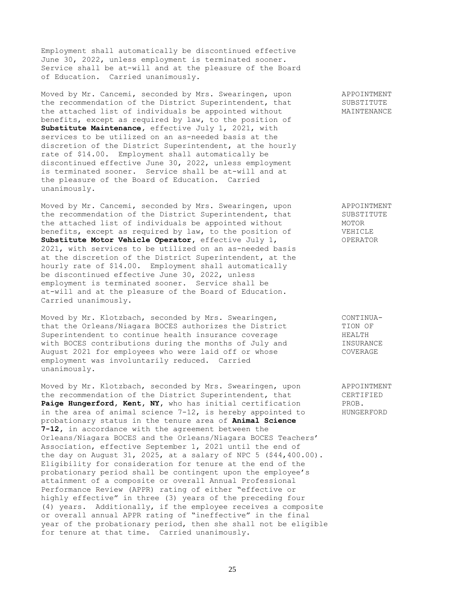Employment shall automatically be discontinued effective June 30, 2022, unless employment is terminated sooner. Service shall be at-will and at the pleasure of the Board of Education. Carried unanimously.

Moved by Mr. Cancemi, seconded by Mrs. Swearingen, upon APPOINTMENT the recommendation of the District Superintendent, that SUBSTITUTE the attached list of individuals be appointed without MAINTENANCE benefits, except as required by law, to the position of **Substitute Maintenance,** effective July 1, 2021, with services to be utilized on an as-needed basis at the discretion of the District Superintendent, at the hourly rate of \$14.00. Employment shall automatically be discontinued effective June 30, 2022, unless employment is terminated sooner. Service shall be at-will and at the pleasure of the Board of Education. Carried unanimously.

Moved by Mr. Cancemi, seconded by Mrs. Swearingen, upon APPOINTMENT the recommendation of the District Superintendent, that SUBSTITUTE the attached list of individuals be appointed without MOTOR benefits, except as required by law, to the position of VEHICLE **Substitute Motor Vehicle Operator,** effective July 1, OPERATOR 2021, with services to be utilized on an as-needed basis at the discretion of the District Superintendent, at the hourly rate of \$14.00. Employment shall automatically be discontinued effective June 30, 2022, unless employment is terminated sooner. Service shall be at-will and at the pleasure of the Board of Education. Carried unanimously.

Moved by Mr. Klotzbach, seconded by Mrs. Swearingen, CONTINUAthat the Orleans/Niagara BOCES authorizes the District TION OF Superintendent to continue health insurance coverage **HEALTH** Superintendent to continue health insurance coverage and the HEALTH<br>with BOCES contributions during the months of July and TINSURANCE<br>August 2021 for employees who were laid off or whose August 2021 for employees who were laid off or whose COVERAGE employment was involuntarily reduced. Carried unanimously.

Moved by Mr. Klotzbach, seconded by Mrs. Swearingen, upon APPOINTMENT the recommendation of the District Superintendent, that CERTIFIED **Paige Hungerford, Kent, NY,** who has initial certification PROB. in the area of animal science  $7-12$ , is hereby appointed to  $\qquad$  HUNGERFORD probationary status in the tenure area of **Animal Science 7-12,** in accordance with the agreement between the Orleans/Niagara BOCES and the Orleans/Niagara BOCES Teachers' Association, effective September 1, 2021 until the end of the day on August 31, 2025, at a salary of NPC 5 (\$44,400.00). Eligibility for consideration for tenure at the end of the probationary period shall be contingent upon the employee's attainment of a composite or overall Annual Professional Performance Review (APPR) rating of either "effective or highly effective" in three (3) years of the preceding four (4) years. Additionally, if the employee receives a composite or overall annual APPR rating of "ineffective" in the final year of the probationary period, then she shall not be eligible for tenure at that time. Carried unanimously.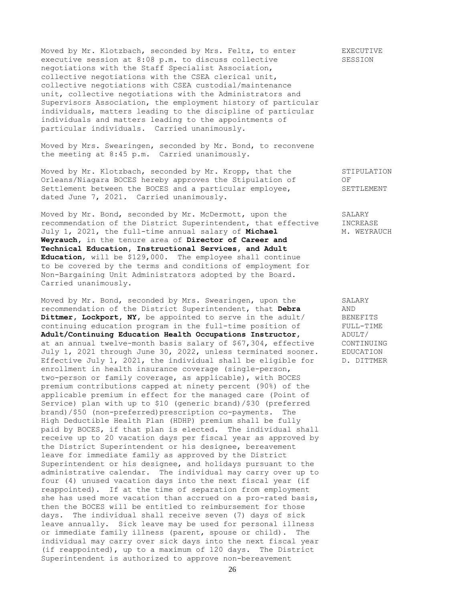Moved by Mr. Klotzbach, seconded by Mrs. Feltz, to enter EXECUTIVE executive session at 8:08 p.m. to discuss collective SESSION negotiations with the Staff Specialist Association, collective negotiations with the CSEA clerical unit, collective negotiations with CSEA custodial/maintenance unit, collective negotiations with the Administrators and Supervisors Association, the employment history of particular individuals, matters leading to the discipline of particular individuals and matters leading to the appointments of particular individuals. Carried unanimously.

Moved by Mrs. Swearingen, seconded by Mr. Bond, to reconvene the meeting at 8:45 p.m. Carried unanimously.

Moved by Mr. Klotzbach, seconded by Mr. Kropp, that the STIPULATION Orleans/Niagara BOCES hereby approves the Stipulation of OF Settlement between the BOCES and a particular employee, SETTLEMENT dated June 7, 2021. Carried unanimously.

Moved by Mr. Bond, seconded by Mr. McDermott, upon the SALARY recommendation of the District Superintendent, that effective INCREASE July 1, 2021, the full-time annual salary of **Michael** M. WEYRAUCH **Weyrauch,** in the tenure area of **Director of Career and Technical Education, Instructional Services, and Adult Education**, will be \$129,000. The employee shall continue to be covered by the terms and conditions of employment for Non-Bargaining Unit Administrators adopted by the Board. Carried unanimously.

Moved by Mr. Bond, seconded by Mrs. Swearingen, upon the SALARY recommendation of the District Superintendent, that **Debra** AND Dittmer, Lockport, NY, be appointed to serve in the adult/ BENEFITS continuing education program in the full-time position of FULL-TIME **Adult/Continuing Education Health Occupations Instructor, ADULT/** at an annual twelve-month basis salary of \$67,304, effective CONTINUING at an annual twelve-month bases salary of yorror, selection.<br>July 1, 2021 through June 30, 2022, unless terminated sooner. EDUCATION Effective July 1, 2021, the individual shall be eligible for D. DITTMER enrollment in health insurance coverage (single-person, two-person or family coverage, as applicable), with BOCES premium contributions capped at ninety percent (90%) of the applicable premium in effect for the managed care (Point of Service) plan with up to \$10 (generic brand)/\$30 (preferred brand)/\$50 (non-preferred)prescription co-payments. The High Deductible Health Plan (HDHP) premium shall be fully paid by BOCES, if that plan is elected. The individual shall receive up to 20 vacation days per fiscal year as approved by the District Superintendent or his designee, bereavement leave for immediate family as approved by the District Superintendent or his designee, and holidays pursuant to the administrative calendar. The individual may carry over up to four (4) unused vacation days into the next fiscal year (if reappointed). If at the time of separation from employment she has used more vacation than accrued on a pro-rated basis, then the BOCES will be entitled to reimbursement for those days. The individual shall receive seven (7) days of sick leave annually. Sick leave may be used for personal illness or immediate family illness (parent, spouse or child). The individual may carry over sick days into the next fiscal year (if reappointed), up to a maximum of 120 days. The District Superintendent is authorized to approve non-bereavement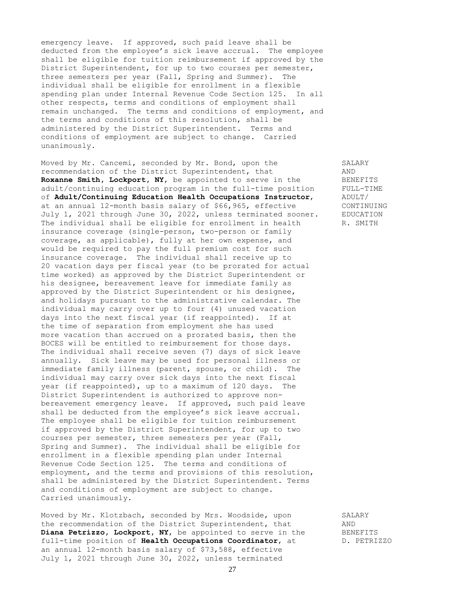emergency leave. If approved, such paid leave shall be deducted from the employee's sick leave accrual. The employee shall be eligible for tuition reimbursement if approved by the District Superintendent, for up to two courses per semester, three semesters per year (Fall, Spring and Summer). The individual shall be eligible for enrollment in a flexible spending plan under Internal Revenue Code Section 125. In all other respects, terms and conditions of employment shall remain unchanged. The terms and conditions of employment, and the terms and conditions of this resolution, shall be administered by the District Superintendent. Terms and conditions of employment are subject to change. Carried unanimously.

Moved by Mr. Cancemi, seconded by Mr. Bond, upon the SALARY recommendation of the District Superintendent, that AND<br> **Roxanne Smith, Lockport, NY,** be appointed to serve in the BENEFITS<br>
adult/continuing education program in the full-time position FULL-TIME Roxanne Smith, Lockport, NY, be appointed to serve in the adult/continuing education program in the full-time position of **Adult/Continuing Education Health Occupations Instructor**, ADULT/ at an annual 12-month basis salary of \$66,965, effective CONTINUING July 1, 2021 through June 30, 2022, unless terminated sooner. EDUCATION The individual shall be eligible for enrollment in health R. SMITH insurance coverage (single-person, two-person or family coverage, as applicable), fully at her own expense, and would be required to pay the full premium cost for such insurance coverage. The individual shall receive up to 20 vacation days per fiscal year (to be prorated for actual time worked) as approved by the District Superintendent or his designee, bereavement leave for immediate family as approved by the District Superintendent or his designee, and holidays pursuant to the administrative calendar. The individual may carry over up to four (4) unused vacation days into the next fiscal year (if reappointed). If at the time of separation from employment she has used more vacation than accrued on a prorated basis, then the BOCES will be entitled to reimbursement for those days. The individual shall receive seven (7) days of sick leave annually. Sick leave may be used for personal illness or immediate family illness (parent, spouse, or child). The individual may carry over sick days into the next fiscal year (if reappointed), up to a maximum of 120 days. The District Superintendent is authorized to approve nonbereavement emergency leave. If approved, such paid leave shall be deducted from the employee's sick leave accrual. The employee shall be eligible for tuition reimbursement if approved by the District Superintendent, for up to two courses per semester, three semesters per year (Fall, Spring and Summer). The individual shall be eligible for enrollment in a flexible spending plan under Internal Revenue Code Section 125. The terms and conditions of employment, and the terms and provisions of this resolution, shall be administered by the District Superintendent. Terms and conditions of employment are subject to change. Carried unanimously.

Moved by Mr. Klotzbach, seconded by Mrs. Woodside, upon SALARY the recommendation of the District Superintendent, that AND Diana Petrizzo, Lockport, NY, be appointed to serve in the BENEFITS full-time position of **Health Occupations Coordinator**, at B. PETRIZZO an annual 12-month basis salary of \$73,588, effective July 1, 2021 through June 30, 2022, unless terminated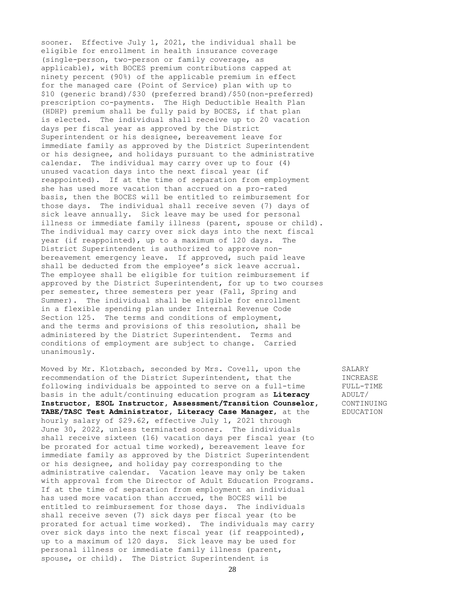sooner. Effective July 1, 2021, the individual shall be eligible for enrollment in health insurance coverage (single-person, two-person or family coverage, as applicable), with BOCES premium contributions capped at ninety percent (90%) of the applicable premium in effect for the managed care (Point of Service) plan with up to \$10 (generic brand)/\$30 (preferred brand)/\$50(non-preferred) prescription co-payments. The High Deductible Health Plan (HDHP) premium shall be fully paid by BOCES, if that plan is elected. The individual shall receive up to 20 vacation days per fiscal year as approved by the District Superintendent or his designee, bereavement leave for immediate family as approved by the District Superintendent or his designee, and holidays pursuant to the administrative calendar. The individual may carry over up to four (4) unused vacation days into the next fiscal year (if reappointed). If at the time of separation from employment she has used more vacation than accrued on a pro-rated basis, then the BOCES will be entitled to reimbursement for those days. The individual shall receive seven (7) days of sick leave annually. Sick leave may be used for personal illness or immediate family illness (parent, spouse or child). The individual may carry over sick days into the next fiscal year (if reappointed), up to a maximum of 120 days. The District Superintendent is authorized to approve nonbereavement emergency leave. If approved, such paid leave shall be deducted from the employee's sick leave accrual. The employee shall be eligible for tuition reimbursement if approved by the District Superintendent, for up to two courses per semester, three semesters per year (Fall, Spring and Summer). The individual shall be eligible for enrollment in a flexible spending plan under Internal Revenue Code Section 125. The terms and conditions of employment, and the terms and provisions of this resolution, shall be administered by the District Superintendent. Terms and conditions of employment are subject to change. Carried unanimously.

Moved by Mr. Klotzbach, seconded by Mrs. Covell, upon the SALARY recommendation of the District Superintendent, that the INCREASE following individuals be appointed to serve on a full-time FULL-TIME basis in the adult/continuing education program as **Literacy** ADULT/ **Instructor, ESOL Instructor, Assessment/Transition Counselor,** CONTINUING **TABE/TASC Test Administrator, Literacy Case Manager**, at the EDUCATION hourly salary of \$29.62, effective July 1, 2021 through June 30, 2022, unless terminated sooner. The individuals shall receive sixteen (16) vacation days per fiscal year (to be prorated for actual time worked), bereavement leave for immediate family as approved by the District Superintendent or his designee, and holiday pay corresponding to the administrative calendar. Vacation leave may only be taken with approval from the Director of Adult Education Programs. If at the time of separation from employment an individual has used more vacation than accrued, the BOCES will be entitled to reimbursement for those days. The individuals shall receive seven (7) sick days per fiscal year (to be prorated for actual time worked). The individuals may carry over sick days into the next fiscal year (if reappointed), up to a maximum of 120 days. Sick leave may be used for personal illness or immediate family illness (parent, spouse, or child). The District Superintendent is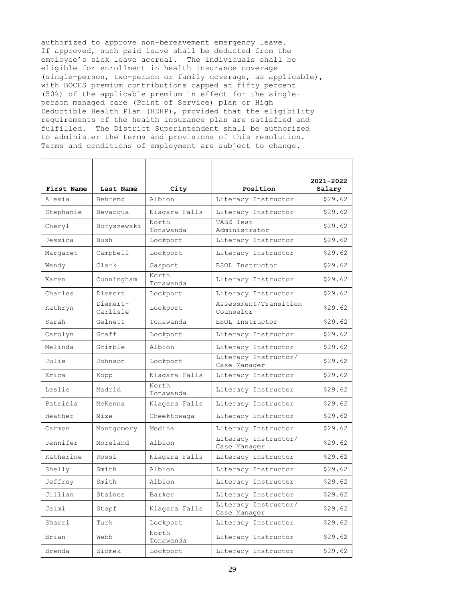authorized to approve non-bereavement emergency leave. If approved, such paid leave shall be deducted from the employee's sick leave accrual. The individuals shall be eligible for enrollment in health insurance coverage (single-person, two-person or family coverage, as applicable), with BOCES premium contributions capped at fifty percent (50%) of the applicable premium in effect for the singleperson managed care (Point of Service) plan or High Deductible Health Plan (HDHP), provided that the eligibility requirements of the health insurance plan are satisfied and fulfilled. The District Superintendent shall be authorized to administer the terms and provisions of this resolution. Terms and conditions of employment are subject to change.

| First Name | Last Name            |                        | Position                             | 2021-2022         |
|------------|----------------------|------------------------|--------------------------------------|-------------------|
| Alesia     | Behrend              | City<br>Albion         | Literacy Instructor                  | Salary<br>\$29.62 |
|            |                      |                        |                                      |                   |
| Stephanie  | Bevacqua             | Niagara Falls<br>North | Literacy Instructor<br>TABE Test     | \$29.62           |
| Cheryl     | Boryszewski          | Tonawanda              | Administrator                        | \$29.62           |
| Jessica    | Bush                 | Lockport               | Literacy Instructor                  | \$29.62           |
| Margaret   | Campbell             | Lockport               | Literacy Instructor                  | \$29.62           |
| Wendy      | Clark                | Gasport                | ESOL Instructor                      | \$29.62           |
| Karen      | Cunningham           | North<br>Tonawanda     | Literacy Instructor                  | \$29.62           |
| Charles    | Diemert              | Lockport               | Literacy Instructor                  | \$29.62           |
| Kathryn    | Diemert-<br>Carlisle | Lockport               | Assessment/Transition<br>Counselor   | \$29.62           |
| Sarah      | Gelnett              | Tonawanda              | ESOL Instructor                      | \$29.62           |
| Carolyn    | Graff                | Lockport               | Literacy Instructor                  | \$29.62           |
| Melinda    | Grimble              | Albion                 | Literacy Instructor                  | \$29.62           |
| Julie      | Johnson              | Lockport               | Literacy Instructor/<br>Case Manager | \$29.62           |
| Erica      | Kopp                 | Niagara Falls          | Literacy Instructor                  | \$29.62           |
| Leslie     | Madrid               | North<br>Tonawanda     | Literacy Instructor                  | \$29.62           |
| Patricia   | McKenna              | Niagara Falls          | Literacy Instructor                  | \$29.62           |
| Heather    | Mize                 | Cheektowaga            | Literacy Instructor                  | \$29.62           |
| Carmen     | Montgomery           | Medina                 | Literacy Instructor                  | \$29.62           |
| Jennifer   | Moreland             | Albion                 | Literacy Instructor/<br>Case Manager | \$29.62           |
| Katherine  | Rossi                | Niagara Falls          | Literacy Instructor                  | \$29.62           |
| Shelly     | Smith                | Albion                 | Literacy Instructor                  | \$29.62           |
| Jeffrey    | Smith                | Albion                 | Literacy Instructor                  | \$29.62           |
| Jillian    | Staines              | Barker                 | Literacy Instructor                  | \$29.62           |
| Jaimi      | Stapf                | Niagara Falls          | Literacy Instructor/<br>Case Manager | \$29.62           |
| Sharri     | Turk                 | Lockport               | Literacy Instructor                  | \$29.62           |
| Brian      | Webb                 | North<br>Tonawanda     | Literacy Instructor                  | \$29.62           |
| Brenda     | Ziomek               | Lockport               | Literacy Instructor                  | \$29.62           |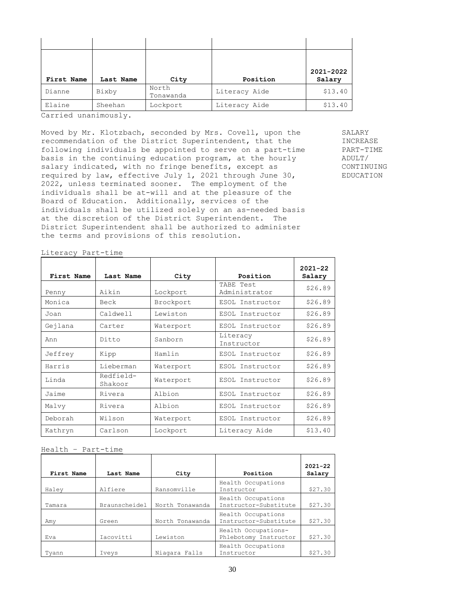| First Name | Last Name |                    | Position      | 2021-2022<br>Salary |
|------------|-----------|--------------------|---------------|---------------------|
|            |           | City               |               |                     |
| Dianne     | Bixby     | North<br>Tonawanda | Literacy Aide | \$13.40             |
| Elaine     | Sheehan   | Lockport           | Literacy Aide | \$13.40             |

Carried unanimously.

Moved by Mr. Klotzbach, seconded by Mrs. Covell, upon the SALARY recommendation of the District Superintendent, that the INCREASE following individuals be appointed to serve on a part-time PART-TIME basis in the continuing education program, at the hourly ADULT/ salary indicated, with no fringe benefits, except as CONTINUING required by law, effective July 1, 2021 through June 30, EDUCATION 2022, unless terminated sooner. The employment of the individuals shall be at-will and at the pleasure of the Board of Education. Additionally, services of the individuals shall be utilized solely on an as-needed basis at the discretion of the District Superintendent. The District Superintendent shall be authorized to administer the terms and provisions of this resolution.

|  | Literacy Part-time |
|--|--------------------|
|--|--------------------|

| First Name | Last Name            |           | Position                   | $2021 - 22$ |
|------------|----------------------|-----------|----------------------------|-------------|
|            |                      | City      |                            | Salary      |
| Penny      | Aikin                | Lockport  | TABE Test<br>Administrator | \$26.89     |
| Monica     | Beck                 | Brockport | ESOL Instructor            | \$26.89     |
| Joan       | Caldwell             | Lewiston  | ESOL Instructor            | \$26.89     |
| Gejlana    | Carter               | Waterport | ESOL Instructor            | \$26.89     |
| Ann        | Ditto                | Sanborn   | Literacy<br>Instructor     | \$26.89     |
| Jeffrey    | Kipp                 | Hamlin    | ESOL Instructor            | \$26.89     |
| Harris     | Lieberman            | Waterport | ESOL Instructor            | \$26.89     |
| Linda      | Redfield-<br>Shakoor | Waterport | ESOL Instructor            | \$26.89     |
| Jaime      | Rivera               | Albion    | ESOL Instructor            | \$26.89     |
| Malvy      | Rivera               | Albion    | ESOL Instructor            | \$26.89     |
| Deborah    | Wilson               | Waterport | ESOL Instructor            | \$26.89     |
| Kathryn    | Carlson              | Lockport  | Literacy Aide              | \$13.40     |

Health – Part-time

|            |               |                 |                                              | $2021 - 22$ |
|------------|---------------|-----------------|----------------------------------------------|-------------|
| First Name | Last Name     | City            | Position                                     | Salary      |
| Haley      | Alfiere       | Ransomville     | Health Occupations<br>Instructor             | \$27.30     |
| Tamara     | Braunscheidel | North Tonawanda | Health Occupations<br>Instructor-Substitute  | \$27.30     |
| Amy        | Green         | North Tonawanda | Health Occupations<br>Instructor-Substitute  | \$27.30     |
| Eva        | Iacovitti     | Lewiston        | Health Occupations-<br>Phlebotomy Instructor | \$27.30     |
| Tyann      | Iveys         | Niagara Falls   | Health Occupations<br>Instructor             | \$27.30     |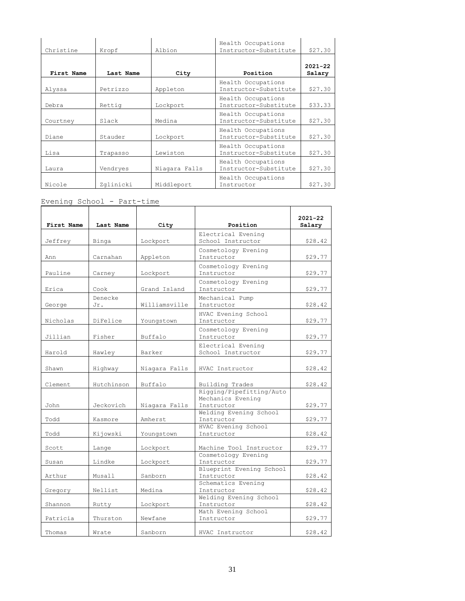| Christine  | Kropf     | Albion        | Health Occupations<br>Instructor-Substitute | \$27.30               |
|------------|-----------|---------------|---------------------------------------------|-----------------------|
|            |           |               |                                             |                       |
| First Name | Last Name | City          | Position                                    | $2021 - 22$<br>Salary |
| Alyssa     | Petrizzo  | Appleton      | Health Occupations<br>Instructor-Substitute | \$27.30               |
| Debra      | Rettig    | Lockport      | Health Occupations<br>Instructor-Substitute | \$33.33               |
| Courtney   | Slack     | Medina        | Health Occupations<br>Instructor-Substitute | \$27.30               |
| Diane      | Stauder   | Lockport      | Health Occupations<br>Instructor-Substitute | \$27.30               |
| Lisa       | Trapasso  | Lewiston      | Health Occupations<br>Instructor-Substitute | \$27.30               |
| Laura      | Vendryes  | Niagara Falls | Health Occupations<br>Instructor-Substitute | \$27.30               |
| Nicole     | Zglinicki | Middleport    | Health Occupations<br>Instructor            | \$27.30               |

Evening School - Part-time

|            |                |               |                                        | $2021 - 22$ |
|------------|----------------|---------------|----------------------------------------|-------------|
| First Name | Last Name      | City          | Position                               | Salary      |
|            |                |               | Electrical Evening                     |             |
| Jeffrey    | Binga          | Lockport      | School Instructor                      | \$28.42     |
|            |                |               | Cosmetology Evening                    |             |
| Ann        | Carnahan       | Appleton      | Instructor                             | \$29.77     |
| Pauline    | Carney         | Lockport      | Cosmetology Evening<br>Instructor      | \$29.77     |
| Erica      | Cook           | Grand Island  | Cosmetology Evening<br>Instructor      | \$29.77     |
| George     | Denecke<br>Jr. | Williamsville | Mechanical Pump<br>Instructor          | \$28.42     |
|            |                |               | HVAC Evening School                    |             |
| Nicholas   | DiFelice       | Youngstown    | Instructor                             | \$29.77     |
| Jillian    | Fisher         | Buffalo       | Cosmetology Evening<br>Instructor      | \$29.77     |
|            |                |               | Electrical Evening                     |             |
| Harold     | Hawley         | Barker        | School Instructor                      | \$29.77     |
| Shawn      | Highway        | Niagara Falls | HVAC Instructor                        | \$28.42     |
| Clement    | Hutchinson     | Buffalo       | Building Trades                        | \$28.42     |
|            |                |               | Rigging/Pipefitting/Auto               |             |
| John       | Jeckovich      | Niagara Falls | Mechanics Evening<br>Instructor        | \$29.77     |
|            |                |               | Welding Evening School                 |             |
| Todd       | Kasmore        | Amherst       | Instructor                             | \$29.77     |
|            |                |               | HVAC Evening School                    |             |
| Todd       | Kijowski       | Youngstown    | Instructor                             | \$28.42     |
| Scott      | Lange          | Lockport      | Machine Tool Instructor                | \$29.77     |
|            |                |               | Cosmetology Evening                    |             |
| Susan      | Lindke         | Lockport      | Instructor<br>Blueprint Evening School | \$29.77     |
| Arthur     | Musall         | Sanborn       | Instructor                             | \$28.42     |
|            |                |               | Schematics Evening                     |             |
| Gregory    | Nellist        | Medina        | Instructor                             | \$28.42     |
|            |                |               | Welding Evening School                 |             |
| Shannon    | Rutty          | Lockport      | Instructor<br>Math Evening School      | \$28.42     |
| Patricia   | Thurston       | Newfane       | Instructor                             | \$29.77     |
|            |                |               |                                        |             |
| Thomas     | Wrate          | Sanborn       | HVAC Instructor                        | \$28.42     |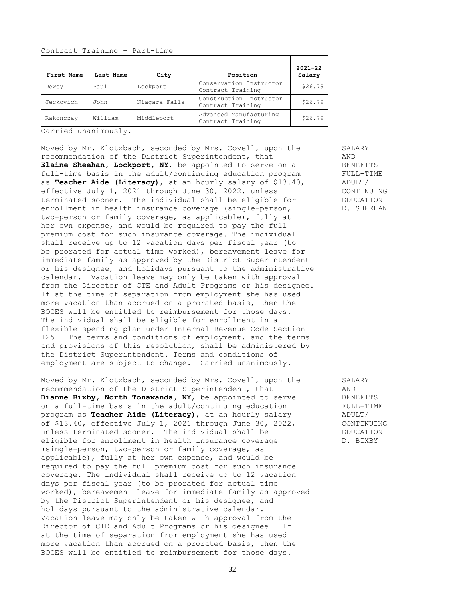Contract Training – Part-time

| First Name | Last Name | City          | Position                                     | $2021 - 22$<br>Salary |
|------------|-----------|---------------|----------------------------------------------|-----------------------|
| Dewey      | Paul      | Lockport      | Conservation Instructor<br>Contract Training | \$26.79               |
| Jeckovich  | John      | Niagara Falls | Construction Instructor<br>Contract Training | \$26.79               |
| Rakonczay  | William   | Middleport    | Advanced Manufacturing<br>Contract Training  | \$26.79               |

Carried unanimously.

Moved by Mr. Klotzbach, seconded by Mrs. Covell, upon the SALARY recommendation of the District Superintendent, that AND **Elaine Sheehan, Lockport, NY,** be appointed to serve on a BENEFITS full-time basis in the adult/continuing education program FULL-TIME as **Teacher Aide (Literacy)**, at an hourly salary of \$13.40, ADULT/ effective July 1, 2021 through June 30, 2022, unless CONTINUING terminated sooner. The individual shall be eligible for EDUCATION enrollment in health insurance coverage (single-person, E. SHEEHAN two-person or family coverage, as applicable), fully at her own expense, and would be required to pay the full premium cost for such insurance coverage. The individual shall receive up to 12 vacation days per fiscal year (to be prorated for actual time worked), bereavement leave for immediate family as approved by the District Superintendent or his designee, and holidays pursuant to the administrative calendar. Vacation leave may only be taken with approval from the Director of CTE and Adult Programs or his designee. If at the time of separation from employment she has used more vacation than accrued on a prorated basis, then the BOCES will be entitled to reimbursement for those days. The individual shall be eligible for enrollment in a flexible spending plan under Internal Revenue Code Section 125. The terms and conditions of employment, and the terms and provisions of this resolution, shall be administered by the District Superintendent. Terms and conditions of employment are subject to change. Carried unanimously.

Moved by Mr. Klotzbach, seconded by Mrs. Covell, upon the SALARY recommendation of the District Superintendent, that AND Dianne Bixby, North Tonawanda, NY, be appointed to serve BENEFITS on a full-time basis in the adult/continuing education FULL-TIME program as **Teacher Aide (Literacy)**, at an hourly salary ADULT/ of \$13.40, effective July 1, 2021 through June 30, 2022, CONTINUING unless terminated sooner. The individual shall be FIDUCATION eligible for enrollment in health insurance coverage  $D. BIXBY$ (single-person, two-person or family coverage, as applicable), fully at her own expense, and would be required to pay the full premium cost for such insurance coverage. The individual shall receive up to 12 vacation days per fiscal year (to be prorated for actual time worked), bereavement leave for immediate family as approved by the District Superintendent or his designee, and holidays pursuant to the administrative calendar. Vacation leave may only be taken with approval from the Director of CTE and Adult Programs or his designee. If at the time of separation from employment she has used more vacation than accrued on a prorated basis, then the BOCES will be entitled to reimbursement for those days.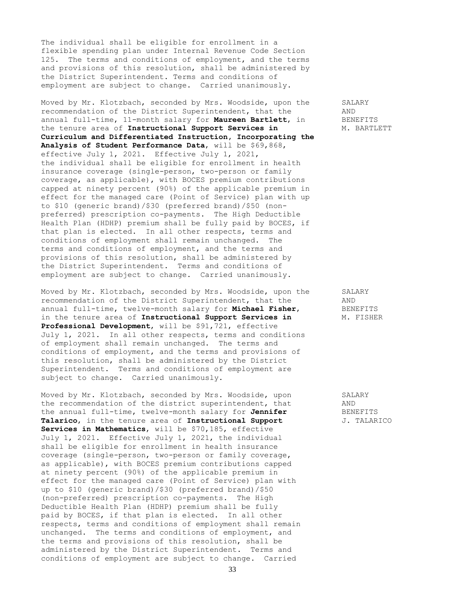The individual shall be eligible for enrollment in a flexible spending plan under Internal Revenue Code Section 125. The terms and conditions of employment, and the terms and provisions of this resolution, shall be administered by the District Superintendent. Terms and conditions of employment are subject to change. Carried unanimously.

Moved by Mr. Klotzbach, seconded by Mrs. Woodside, upon the SALARY recommendation of the District Superintendent, that the AND annual full-time, 11-month salary for **Maureen Bartlett**, in BENEFITS the tenure area of Instructional Support Services in **M. BARTLETT Curriculum and Differentiated Instruction, Incorporating the Analysis of Student Performance Data**, will be \$69,868, effective July 1, 2021. Effective July 1, 2021, the individual shall be eligible for enrollment in health insurance coverage (single-person, two-person or family coverage, as applicable), with BOCES premium contributions capped at ninety percent (90%) of the applicable premium in effect for the managed care (Point of Service) plan with up to \$10 (generic brand)/\$30 (preferred brand)/\$50 (nonpreferred) prescription co-payments. The High Deductible Health Plan (HDHP) premium shall be fully paid by BOCES, if that plan is elected. In all other respects, terms and conditions of employment shall remain unchanged. The terms and conditions of employment, and the terms and provisions of this resolution, shall be administered by the District Superintendent. Terms and conditions of employment are subject to change. Carried unanimously.

Moved by Mr. Klotzbach, seconded by Mrs. Woodside, upon the SALARY recommendation of the District Superintendent, that the AND annual full-time, twelve-month salary for **Michael Fisher**, BENEFITS in the tenure area of Instructional Support Services in M. FISHER **Professional Development**, will be \$91,721, effective July 1, 2021. In all other respects, terms and conditions of employment shall remain unchanged. The terms and conditions of employment, and the terms and provisions of this resolution, shall be administered by the District Superintendent. Terms and conditions of employment are subject to change. Carried unanimously.

Moved by Mr. Klotzbach, seconded by Mrs. Woodside, upon SALARY the recommendation of the district superintendent, that AND<br>the annual full-time, twelve-month salary for **Jennifer** BENEFITS the annual full-time, twelve-month salary for Jennifer **Talarico**, in the tenure area of **Instructional Support** J. TALARICO **Services in Mathematics**, will be \$70,185, effective July 1, 2021. Effective July 1, 2021, the individual shall be eligible for enrollment in health insurance coverage (single-person, two-person or family coverage, as applicable), with BOCES premium contributions capped at ninety percent (90%) of the applicable premium in effect for the managed care (Point of Service) plan with up to \$10 (generic brand)/\$30 (preferred brand)/\$50 (non-preferred) prescription co-payments. The High Deductible Health Plan (HDHP) premium shall be fully paid by BOCES, if that plan is elected. In all other respects, terms and conditions of employment shall remain unchanged. The terms and conditions of employment, and the terms and provisions of this resolution, shall be administered by the District Superintendent. Terms and conditions of employment are subject to change. Carried